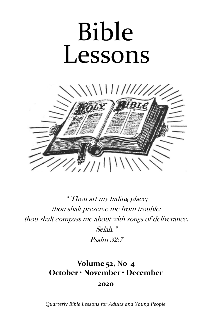# Bible Lessons



" Thou art my hiding place; thou shalt preserve me from trouble; thou shalt compass me about with songs of deliverance. Selah." Psalm 32:7

# **Volume 52, No 4 October • November • December 2020**

*Quarterly Bible Lessons for Adults and Young People*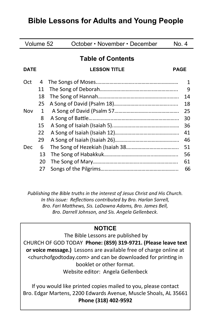# **Bible Lessons for Adults and Young People**

| Volume 52                |              | October • November • December      | No. 4 |
|--------------------------|--------------|------------------------------------|-------|
| <b>Table of Contents</b> |              |                                    |       |
| <b>DATE</b>              |              | <b>LESSON TITLE</b><br><b>PAGE</b> |       |
| Oct                      | 4            |                                    | 1     |
|                          | 11           |                                    | 9     |
|                          | 18           |                                    | 14    |
|                          | 25           |                                    | 18    |
| Nov                      | $\mathbf{1}$ |                                    | 25    |
|                          | 8            |                                    | 30    |
|                          | 15           |                                    | 36    |
|                          | 22           |                                    | 41    |
|                          | 29           |                                    | 46    |
| <b>Dec</b>               | 6            |                                    | 51    |
|                          | 13           |                                    | 56    |
|                          | 20           |                                    | 61    |
|                          | 27           |                                    | 66    |

*Publishing the Bible truths in the interest of Jesus Christ and His Church. In this issue: Reflections contributed by Bro. Harlan Sorrell, Bro. Fari Matthews, Sis. LaDawna Adams, Bro. James Bell, Bro. Darrell Johnson, and Sis. Angela Gellenbeck.* 

# **NOTICE**

The Bible Lessons are published by CHURCH OF GOD TODAY **Phone: (859) 319-9721. (Please leave text or voice message.)** Lessons are available free of charge online at <churchofgodtoday.com> and can be downloaded for printing in booklet or other format. Website editor: Angela Gellenbeck

If you would like printed copies mailed to you, please contact Bro. Edgar Martens, 2200 Edwards Avenue, Muscle Shoals, AL 35661 **Phone (318) 402-9592**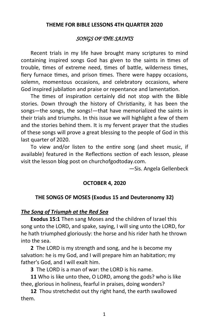#### **THEME FOR BIBLE LESSONS 4TH QUARTER 2020**

#### *SONGS OF THE SAINTS*

Recent trials in my life have brought many scriptures to mind containing inspired songs God has given to the saints in times of trouble, times of extreme need, times of battle, wilderness times, fiery furnace times, and prison times. There were happy occasions, solemn, momentous occasions, and celebratory occasions, where God inspired jubilation and praise or repentance and lamentation.

The times of inspiration certainly did not stop with the Bible stories. Down through the history of Christianity, it has been the songs—the songs, the songs!—that have memorialized the saints in their trials and triumphs. In this issue we will highlight a few of them and the stories behind them. It is my fervent prayer that the studies of these songs will prove a great blessing to the people of God in this last quarter of 2020.

To view and/or listen to the entire song (and sheet music, if available) featured in the Reflections section of each lesson, please visit the lesson blog post on churchofgodtoday.com.

—Sis. Angela Gellenbeck

#### **OCTOBER 4, 2020**

#### **THE SONGS OF MOSES (Exodus 15 and Deuteronomy 32)**

#### *The Song of Triumph at the Red Sea*

**Exodus 15:1** Then sang Moses and the children of Israel this song unto the LORD, and spake, saying, I will sing unto the LORD, for he hath triumphed gloriously: the horse and his rider hath he thrown into the sea.

**2** The LORD is my strength and song, and he is become my salvation: he is my God, and I will prepare him an habitation; my father's God, and I will exalt him.

**3** The LORD is a man of war: the LORD is his name.

**11** Who is like unto thee, O LORD, among the gods? who is like thee, glorious in holiness, fearful in praises, doing wonders?

**12** Thou stretchedst out thy right hand, the earth swallowed them.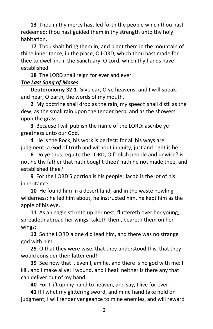**13** Thou in thy mercy hast led forth the people which thou hast redeemed: thou hast guided them in thy strength unto thy holy habitation.

**17** Thou shalt bring them in, and plant them in the mountain of thine inheritance, in the place, O LORD, which thou hast made for thee to dwell in, in the Sanctuary, O Lord, which thy hands have established.

**18** The LORD shall reign for ever and ever.

# *The Last Song of Moses*

**Deuteronomy 32:1** Give ear, O ye heavens, and I will speak; and hear, O earth, the words of my mouth.

**2** My doctrine shall drop as the rain, my speech shall distil as the dew, as the small rain upon the tender herb, and as the showers upon the grass:

**3** Because I will publish the name of the LORD: ascribe ye greatness unto our God.

**4** He is the Rock, his work is perfect: for all his ways are judgment: a God of truth and without iniquity, just and right is he.

**6** Do ye thus requite the LORD, O foolish people and unwise? is not he thy father that hath bought thee? hath he not made thee, and established thee?

**9** For the LORD'S portion is his people; Jacob is the lot of his inheritance.

**10** He found him in a desert land, and in the waste howling wilderness; he led him about, he instructed him, he kept him as the apple of his eye.

**11** As an eagle stirreth up her nest, fluttereth over her young, spreadeth abroad her wings, taketh them, beareth them on her wings:

**12** So the LORD alone did lead him, and there was no strange god with him.

**29** O that they were wise, that they understood this, that they would consider their latter end!

**39** See now that I, even I, am he, and there is no god with me: I kill, and I make alive; I wound, and I heal: neither is there any that can deliver out of my hand.

**40** For I lift up my hand to heaven, and say, I live for ever.

**41** If I whet my glittering sword, and mine hand take hold on judgment; I will render vengeance to mine enemies, and will reward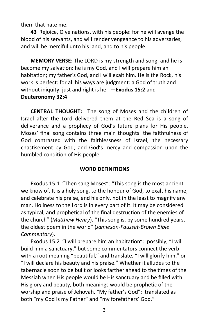them that hate me.

**43** Rejoice, O ye nations, with his people: for he will avenge the blood of his servants, and will render vengeance to his adversaries, and will be merciful unto his land, and to his people.

**MEMORY VERSE:** The LORD is my strength and song, and he is become my salvation: he is my God, and I will prepare him an habitation; my father's God, and I will exalt him. He is the Rock, his work is perfect: for all his ways are judgment: a God of truth and without iniquity, just and right is he. —**Exodus 15:2** and **Deuteronomy 32:4**

**CENTRAL THOUGHT:** The song of Moses and the children of Israel after the Lord delivered them at the Red Sea is a song of deliverance and a prophecy of God's future plans for His people. Moses' final song contains three main thoughts: the faithfulness of God contrasted with the faithlessness of Israel; the necessary chastisement by God; and God's mercy and compassion upon the humbled condition of His people.

#### **WORD DEFINITIONS**

Exodus 15:1 "Then sang Moses": "This song is the most ancient we know of. It is a holy song, to the honour of God, to exalt his name, and celebrate his praise, and his only, not in the least to magnify any man. Holiness to the Lord is in every part of it. It may be considered as typical, and prophetical of the final destruction of the enemies of the church" (*Matthew Henry*). "This song is, by some hundred years, the oldest poem in the world" (*Jamieson-Fausset-Brown Bible Commentary*).

Exodus 15:2 "I will prepare him an habitation": possibly, "I will build him a sanctuary," but some commentators connect the verb with a root meaning "beautiful," and translate, "I will glorify him," or "I will declare his beauty and his praise." Whether it alludes to the tabernacle soon to be built or looks farther ahead to the times of the Messiah when His people would be His sanctuary and be filled with His glory and beauty, both meanings would be prophetic of the worship and praise of Jehovah. "My father's God": translated as both "my God is my Father" and "my forefathers' God."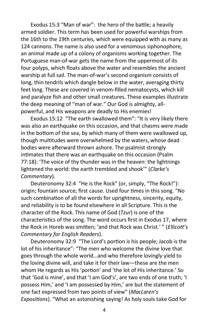Exodus 15:3 "Man of war": the hero of the battle; a heavily armed soldier. This term has been used for powerful warships from the 16th to the 19th centuries, which were equipped with as many as 124 cannons. The name is also used for a venomous siphonophore, an animal made up of a colony of organisms working together. The Portuguese man-of-war gets the name from the uppermost of its four polyps, which floats above the water and resembles the ancient warship at full sail. The man-of-war's second organism consists of long, thin tendrils which dangle below in the water, averaging thirty feet long. These are covered in venom-filled nematocysts, which kill and paralyze fish and other small creatures. These examples illustrate the deep meaning of "man of war." Our God is almighty, allpowerful, and His weapons are deadly to His enemies!

Exodus 15:12 "The earth swallowed them": "It is very likely there was also an earthquake on this occasion, and that chasms were made in the bottom of the sea, by which many of them were swallowed up, though multitudes were overwhelmed by the waters, whose dead bodies were afterward thrown ashore. The psalmist strongly intimates that there was an earthquake on this occasion (Psalm 77:18): 'The voice of thy thunder was in the heaven: the lightnings lightened the world: the earth trembled and shook'" (*Clarke's Commentary*).

Deuteronomy 32:4 "He is the Rock" (or, simply, "The Rock!"): origin; fountain source; first cause. Used four times in this song. "No such combination of all the words for uprightness, sincerity, equity, and reliability is to be found elsewhere in all Scripture. This is the character of the Rock. This name of God (*Tzur*) is one of the characteristics of the song. The word occurs first in Exodus 17, where the Rock in Horeb was smitten; 'and that Rock was Christ.' " (*Ellicott's Commentary for English Readers*).

Deuteronomy 32:9 "The Lord's portion is his people; Jacob is the lot of his inheritance": "The men who welcome the divine love that goes through the whole world…and who therefore lovingly yield to the loving divine will, and take it for their law—these are the men whom He regards as His 'portion' and 'the lot of His inheritance.' So that 'God is mine', and that 'I am God's', are two ends of one truth; 'I possess Him,' and 'I am possessed by Him,' are but the statement of one fact expressed from two points of view" (*MacLaren's Expositions*). "What an astonishing saying! As holy souls take God for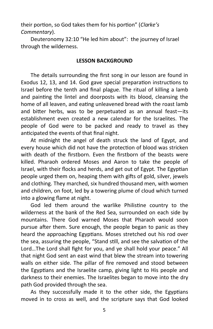their portion, so God takes them for his portion" (*Clarke's Commentary*).

Deuteronomy 32:10 "He led him about": the journey of Israel through the wilderness.

#### **LESSON BACKGROUND**

The details surrounding the first song in our lesson are found in Exodus 12, 13, and 14. God gave special preparation instructions to Israel before the tenth and final plague. The ritual of killing a lamb and painting the lintel and doorposts with its blood, cleansing the home of all leaven, and eating unleavened bread with the roast lamb and bitter herbs, was to be perpetuated as an annual feast—its establishment even created a new calendar for the Israelites. The people of God were to be packed and ready to travel as they anticipated the events of that final night.

At midnight the angel of death struck the land of Egypt, and every house which did not have the protection of blood was stricken with death of the firstborn. Even the firstborn of the beasts were killed. Pharaoh ordered Moses and Aaron to take the people of Israel, with their flocks and herds, and get out of Egypt. The Egyptian people urged them on, heaping them with gifts of gold, silver, jewels and clothing. They marched, six hundred thousand men, with women and children, on foot, led by a towering plume of cloud which turned into a glowing flame at night.

God led them around the warlike Philistine country to the wilderness at the bank of the Red Sea, surrounded on each side by mountains. There God warned Moses that Pharaoh would soon pursue after them. Sure enough, the people began to panic as they heard the approaching Egyptians. Moses stretched out his rod over the sea, assuring the people, "Stand still, and see the salvation of the Lord…The Lord shall fight for you, and ye shall hold your peace." All that night God sent an east wind that blew the stream into towering walls on either side. The pillar of fire removed and stood between the Egyptians and the Israelite camp, giving light to His people and darkness to their enemies. The Israelites began to move into the dry path God provided through the sea.

As they successfully made it to the other side, the Egyptians moved in to cross as well, and the scripture says that God looked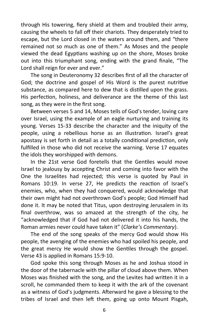through His towering, fiery shield at them and troubled their army, causing the wheels to fall off their chariots. They desperately tried to escape, but the Lord closed in the waters around them, and "there remained not so much as one of them." As Moses and the people viewed the dead Egyptians washing up on the shore, Moses broke out into this triumphant song, ending with the grand finale, "The Lord shall reign for ever and ever."

The song in Deuteronomy 32 describes first of all the character of God; the doctrine and gospel of His Word is the purest nutritive substance, as compared here to dew that is distilled upon the grass. His perfection, holiness, and deliverance are the theme of this last song, as they were in the first song.

Between verses 5 and 14, Moses tells of God's tender, loving care over Israel, using the example of an eagle nurturing and training its young. Verses 15-33 describe the character and the iniquity of the people, using a rebellious horse as an illustration. Israel's great apostasy is set forth in detail as a totally conditional prediction, only fulfilled in those who did not receive the warning. Verse 17 equates the idols they worshipped with demons.

In the 21st verse God foretells that the Gentiles would move Israel to jealousy by accepting Christ and coming into favor with the One the Israelites had rejected; this verse is quoted by Paul in Romans 10:19. In verse 27, He predicts the reaction of Israel's enemies, who, when they had conquered, would acknowledge that their own might had not overthrown God's people; God Himself had done it. It may be noted that Titus, upon destroying Jerusalem in its final overthrow, was so amazed at the strength of the city, he "acknowledged that if God had not delivered it into his hands, the Roman armies never could have taken it" (*Clarke's Commentary*).

The end of the song speaks of the mercy God would show His people, the avenging of the enemies who had spoiled his people, and the great mercy He would show the Gentiles through the gospel. Verse 43 is applied in Romans 15:9-10.

God spoke this song through Moses as he and Joshua stood in the door of the tabernacle with the pillar of cloud above them. When Moses was finished with the song, and the Levites had written it in a scroll, he commanded them to keep it with the ark of the covenant as a witness of God's judgments. Afterward he gave a blessing to the tribes of Israel and then left them, going up onto Mount Pisgah,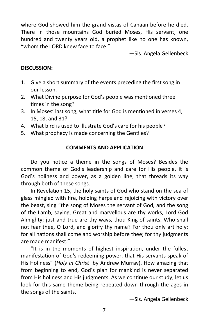where God showed him the grand vistas of Canaan before he died. There in those mountains God buried Moses, His servant, one hundred and twenty years old, a prophet like no one has known, "whom the LORD knew face to face."

—Sis. Angela Gellenbeck

## **DISCUSSION:**

- 1. Give a short summary of the events preceding the first song in our lesson.
- 2. What Divine purpose for God's people was mentioned three times in the song?
- 3. In Moses' last song, what title for God is mentioned in verses 4, 15, 18, and 31?
- 4. What bird is used to illustrate God's care for his people?
- 5. What prophecy is made concerning the Gentiles?

#### **COMMENTS AND APPLICATION**

Do you notice a theme in the songs of Moses? Besides the common theme of God's leadership and care for His people, it is God's holiness and power, as a golden line, that threads its way through both of these songs.

In Revelation 15, the holy saints of God who stand on the sea of glass mingled with fire, holding harps and rejoicing with victory over the beast, sing "the song of Moses the servant of God, and the song of the Lamb, saying, Great and marvellous are thy works, Lord God Almighty; just and true are thy ways, thou King of saints. Who shall not fear thee, O Lord, and glorify thy name? For thou only art holy: for all nations shall come and worship before thee; for thy judgments are made manifest."

"It is in the moments of highest inspiration, under the fullest manifestation of God's redeeming power, that His servants speak of His Holiness" (*Holy in Christ* by Andrew Murray). How amazing that from beginning to end, God's plan for mankind is never separated from His holiness and His judgments. As we continue our study, let us look for this same theme being repeated down through the ages in the songs of the saints.

—Sis. Angela Gellenbeck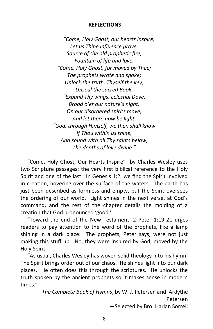#### **REFLECTIONS**

*"Come, Holy Ghost, our hearts inspire; Let us Thine influence prove: Source of the old prophetic fire, Fountain of life and love. "Come, Holy Ghost, for moved by Thee; The prophets wrote and spoke; Unlock the truth, Thyself the key; Unseal the sacred Book. "Expand Thy wings, celestial Dove, Brood o'er our nature's night; On our disordered spirits move, And let there now be light. "God, through Himself, we then shall know If Thou within us shine, And sound with all Thy saints below, The depths of love divine."*

 "Come, Holy Ghost, Our Hearts Inspire" by Charles Wesley uses two Scripture passages: the very first biblical reference to the Holy Spirit and one of the last. In Genesis 1:2, we find the Spirit involved in creation, hovering over the surface of the waters. The earth has just been described as formless and empty, but the Spirit oversees the ordering of our world. Light shines in the next verse, at God's command, and the rest of the chapter details the molding of a creation that God pronounced 'good.'

 "Toward the end of the New Testament, 2 Peter 1:19-21 urges readers to pay attention to the word of the prophets, like a lamp shining in a dark place. The prophets, Peter says, were not just making this stuff up. No, they were inspired by God, moved by the Holy Spirit.

 "As usual, Charles Wesley has woven solid theology into his hymn. The Spirit brings order out of our chaos. He shines light into our dark places. He often does this through the scriptures. He unlocks the truth spoken by the ancient prophets so it makes sense in modern times."

—*The Complete Book of Hymns*, by W. J. Petersen and Ardythe Petersen —Selected by Bro. Harlan Sorrell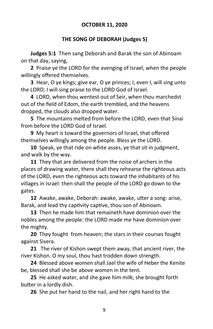#### **OCTOBER 11, 2020**

#### **THE SONG OF DEBORAH (Judges 5)**

**Judges 5:1** Then sang Deborah and Barak the son of Abinoam on that day, saying,

**2** Praise ye the LORD for the avenging of Israel, when the people willingly offered themselves.

**3** Hear, O ye kings; give ear, O ye princes; I, even I, will sing unto the LORD; I will sing praise to the LORD God of Israel.

**4** LORD, when thou wentest out of Seir, when thou marchedst out of the field of Edom, the earth trembled, and the heavens dropped, the clouds also dropped water.

**5** The mountains melted from before the LORD, even that Sinai from before the LORD God of Israel.

**9** My heart is toward the governors of Israel, that offered themselves willingly among the people. Bless ye the LORD.

**10** Speak, ye that ride on white asses, ye that sit in judgment, and walk by the way.

**11** They that are delivered from the noise of archers in the places of drawing water, there shall they rehearse the righteous acts of the LORD, even the righteous acts toward the inhabitants of his villages in Israel: then shall the people of the LORD go down to the gates.

**12** Awake, awake, Deborah: awake, awake, utter a song: arise, Barak, and lead thy captivity captive, thou son of Abinoam.

**13** Then he made him that remaineth have dominion over the nobles among the people: the LORD made me have dominion over the mighty.

**20** They fought from heaven; the stars in their courses fought against Sisera.

**21** The river of Kishon swept them away, that ancient river, the river Kishon. O my soul, thou hast trodden down strength.

**24** Blessed above women shall Jael the wife of Heber the Kenite be, blessed shall she be above women in the tent.

**25** He asked water, and she gave him milk; she brought forth butter in a lordly dish.

**26** She put her hand to the nail, and her right hand to the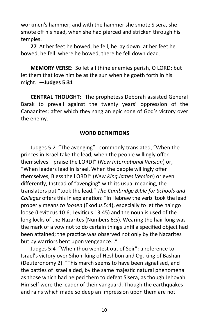workmen's hammer; and with the hammer she smote Sisera, she smote off his head, when she had pierced and stricken through his temples.

**27** At her feet he bowed, he fell, he lay down: at her feet he bowed, he fell: where he bowed, there he fell down dead.

**MEMORY VERSE:** So let all thine enemies perish, O LORD: but let them that love him be as the sun when he goeth forth in his might. **—Judges 5:31**

**CENTRAL THOUGHT:** The prophetess Deborah assisted General Barak to prevail against the twenty years' oppression of the Canaanites; after which they sang an epic song of God's victory over the enemy.

#### **WORD DEFINITIONS**

Judges 5:2 "The avenging": commonly translated, "When the princes in Israel take the lead, when the people willingly offer themselves—praise the LORD!" (*New International Version*) or, "When leaders lead in Israel, When the people willingly offer themselves, Bless the LORD!" (*New King James Version*) or even differently, Instead of "avenging" with its usual meaning, the translators put "took the lead." *The Cambridge Bible for Schools and Colleges* offers this in explanation: "In Hebrew the verb 'took the lead' properly means *to loosen* (Exodus 5:4), especially to let the hair go loose (Leviticus 10:6; Leviticus 13:45) and the noun is used of the long locks of the Nazarites (Numbers 6:5). Wearing the hair long was the mark of a vow not to do certain things until a specified object had been attained; the practice was observed not only by the Nazarites but by warriors bent upon vengeance…"

Judges 5:4 "When thou wentest out of Seir": a reference to Israel's victory over Sihon, king of Heshbon and Og, king of Bashan (Deuteronomy 2). "This march seems to have been signalised, and the battles of Israel aided, by the same majestic natural phenomena as those which had helped them to defeat Sisera, as though Jehovah Himself were the leader of their vanguard. Though the earthquakes and rains which made so deep an impression upon them are not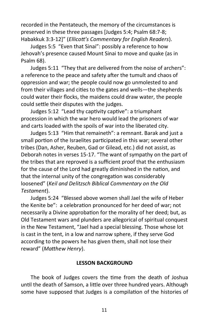recorded in the Pentateuch, the memory of the circumstances is preserved in these three passages [Judges 5:4; Psalm 68:7-8; Habakkuk 3:3-12]" (*Ellicott's Commentary for English Readers*).

Judges 5:5 "Even that Sinai": possibly a reference to how Jehovah's presence caused Mount Sinai to move and quake (as in Psalm 68).

Judges 5:11 "They that are delivered from the noise of archers": a reference to the peace and safety after the tumult and chaos of oppression and war; the people could now go unmolested to and from their villages and cities to the gates and wells—the shepherds could water their flocks, the maidens could draw water, the people could settle their disputes with the judges.

Judges 5:12 "Lead thy captivity captive": a triumphant procession in which the war hero would lead the prisoners of war and carts loaded with the spoils of war into the liberated city.

Judges 5:13 "Him that remaineth": a remnant. Barak and just a small portion of the Israelites participated in this war; several other tribes (Dan, Asher, Reuben, Gad or Gilead, etc.) did not assist, as Deborah notes in verses 15-17. "The want of sympathy on the part of the tribes that are reproved is a sufficient proof that the enthusiasm for the cause of the Lord had greatly diminished in the nation, and that the internal unity of the congregation was considerably loosened" (*Keil and Delitzsch Biblical Commentary on the Old Testament*).

Judges 5:24 "Blessed above women shall Jael the wife of Heber the Kenite be": a celebration pronounced for her deed of war; not necessarily a Divine approbation for the morality of her deed; but, as Old Testament wars and plunders are allegorical of spiritual conquest in the New Testament, "Jael had a special blessing. Those whose lot is cast in the tent, in a low and narrow sphere, if they serve God according to the powers he has given them, shall not lose their reward" (*Matthew Henry*).

#### **LESSON BACKGROUND**

The book of Judges covers the time from the death of Joshua until the death of Samson, a little over three hundred years. Although some have supposed that Judges is a compilation of the histories of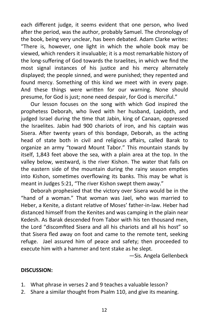each different judge, it seems evident that one person, who lived after the period, was the author, probably Samuel. The chronology of the book, being very unclear, has been debated. Adam Clarke writes: "There is, however, one light in which the whole book may be viewed, which renders it invaluable; it is a most remarkable history of the long-suffering of God towards the Israelites, in which we find the most signal instances of his justice and his mercy alternately displayed; the people sinned, and were punished; they repented and found mercy. Something of this kind we meet with in every page. And these things were written for our warning. None should presume, for God is just; none need despair, for God is merciful."

Our lesson focuses on the song with which God inspired the prophetess Deborah, who lived with her husband, Lapidoth, and judged Israel during the time that Jabin, king of Canaan, oppressed the Israelites. Jabin had 900 chariots of iron, and his captain was Sisera. After twenty years of this bondage, Deborah, as the acting head of state both in civil and religious affairs, called Barak to organize an army "toward Mount Tabor." This mountain stands by itself, 1,843 feet above the sea, with a plain area at the top. In the valley below, westward, is the river Kishon. The water that falls on the eastern side of the mountain during the rainy season empties into Kishon, sometimes overflowing its banks. This may be what is meant in Judges 5:21, "The river Kishon swept them away."

Deborah prophesied that the victory over Sisera would be in the "hand of a woman." That woman was Jael, who was married to Heber, a Kenite, a distant relative of Moses' father-in-law. Heber had distanced himself from the Kenites and was camping in the plain near Kedesh. As Barak descended from Tabor with his ten thousand men, the Lord "discomfited Sisera and all his chariots and all his host" so that Sisera fled away on foot and came to the remote tent, seeking refuge. Jael assured him of peace and safety; then proceeded to execute him with a hammer and tent stake as he slept.

—Sis. Angela Gellenbeck

#### **DISCUSSION:**

- 1. What phrase in verses 2 and 9 teaches a valuable lesson?
- 2. Share a similar thought from Psalm 110, and give its meaning.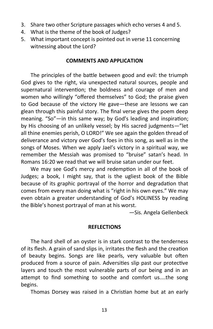- 3. Share two other Scripture passages which echo verses 4 and 5.
- 4. What is the theme of the book of Judges?
- 5. What important concept is pointed out in verse 11 concerning witnessing about the Lord?

#### **COMMENTS AND APPLICATION**

The principles of the battle between good and evil: the triumph God gives to the right, via unexpected natural sources, people and supernatural intervention; the boldness and courage of men and women who willingly "offered themselves" to God; the praise given to God because of the victory He gave—these are lessons we can glean through this painful story. The final verse gives the poem deep meaning. "So"—in this same way; by God's leading and inspiration; by His choosing of an unlikely vessel; by His sacred judgments—"let all thine enemies perish, O LORD!" We see again the golden thread of deliverance and victory over God's foes in this song, as well as in the songs of Moses. When we apply Jael's victory in a spiritual way, we remember the Messiah was promised to "bruise" satan's head. In Romans 16:20 we read that we will bruise satan under our feet.

We may see God's mercy and redemption in all of the book of Judges; a book, I might say, that is the ugliest book of the Bible because of its graphic portrayal of the horror and degradation that comes from every man doing what is "right in his own eyes." We may even obtain a greater understanding of God's HOLINESS by reading the Bible's honest portrayal of man at his worst.

—Sis. Angela Gellenbeck

#### **REFLECTIONS**

The hard shell of an oyster is in stark contrast to the tenderness of its flesh. A grain of sand slips in, irritates the flesh and the creation of beauty begins. Songs are like pearls, very valuable but often produced from a source of pain. Adversities slip past our protective layers and touch the most vulnerable parts of our being and in an attempt to find something to soothe and comfort us....the song begins.

Thomas Dorsey was raised in a Christian home but at an early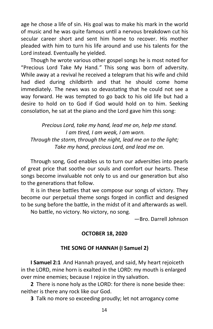age he chose a life of sin. His goal was to make his mark in the world of music and he was quite famous until a nervous breakdown cut his secular career short and sent him home to recover. His mother pleaded with him to turn his life around and use his talents for the Lord instead. Eventually he yielded.

Though he wrote various other gospel songs he is most noted for "Precious Lord Take My Hand*."* This song was born of adversity. While away at a revival he received a telegram that his wife and child had died during childbirth and that he should come home immediately. The news was so devastating that he could not see a way forward. He was tempted to go back to his old life but had a desire to hold on to God if God would hold on to him. Seeking consolation, he sat at the piano and the Lord gave him this song:

*Precious Lord, take my hand, lead me on, help me stand. I am tired, I am weak, I am worn. Through the storm, through the night, lead me on to the light; Take my hand, precious Lord, and lead me on.*

Through song, God enables us to turn our adversities into pearls of great price that soothe our souls and comfort our hearts. These songs become invaluable not only to us and our generation but also to the generations that follow.

It is in these battles that we compose our songs of victory. They become our perpetual theme songs forged in conflict and designed to be sung before the battle, in the midst of it and afterwards as well.

No battle, no victory. No victory, no song.

—Bro. Darrell Johnson

# **OCTOBER 18, 2020**

# **THE SONG OF HANNAH (I Samuel 2)**

**I Samuel 2:1** And Hannah prayed, and said, My heart rejoiceth in the LORD, mine horn is exalted in the LORD: my mouth is enlarged over mine enemies; because I rejoice in thy salvation.

**2** There is none holy as the LORD: for there is none beside thee: neither is there any rock like our God.

**3** Talk no more so exceeding proudly; let not arrogancy come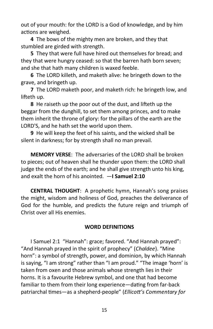out of your mouth: for the LORD is a God of knowledge, and by him actions are weighed.

**4** The bows of the mighty men are broken, and they that stumbled are girded with strength.

**5** They that were full have hired out themselves for bread; and they that were hungry ceased: so that the barren hath born seven; and she that hath many children is waxed feeble.

**6** The LORD killeth, and maketh alive: he bringeth down to the grave, and bringeth up.

**7** The LORD maketh poor, and maketh rich: he bringeth low, and lifteth up.

**8** He raiseth up the poor out of the dust, and lifteth up the beggar from the dunghill, to set them among princes, and to make them inherit the throne of glory: for the pillars of the earth are the LORD'S, and he hath set the world upon them.

**9** He will keep the feet of his saints, and the wicked shall be silent in darkness; for by strength shall no man prevail.

**MEMORY VERSE**: The adversaries of the LORD shall be broken to pieces; out of heaven shall he thunder upon them: the LORD shall judge the ends of the earth; and he shall give strength unto his king, and exalt the horn of his anointed. —**I Samuel 2:10**

**CENTRAL THOUGHT**: A prophetic hymn, Hannah's song praises the might, wisdom and holiness of God, preaches the deliverance of God for the humble, and predicts the future reign and triumph of Christ over all His enemies.

# **WORD DEFINITIONS**

I Samuel 2:1 "Hannah": grace; favored. "And Hannah prayed": "And Hannah prayed in the spirit of prophecy" (*Chaldee*). "Mine horn": a symbol of strength, power, and dominion, by which Hannah is saying, "I am strong" rather than "I am proud." "The image 'horn' is taken from oxen and those animals whose strength lies in their horns. It is a favourite Hebrew symbol, and one that had become familiar to them from their long experience—dating from far-back patriarchal times—as a shepherd-people" (*Ellicott's Commentary for*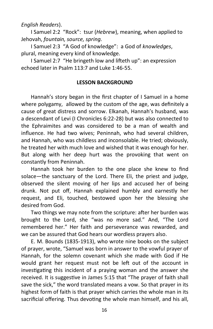*English Readers*).

I Samuel 2:2 "Rock": tsur (*Hebrew*), meaning, when applied to Jehovah, *fountain, source, spring*.

I Samuel 2:3 "A God of knowledge": a God of *knowledges*, plural, meaning every kind of knowledge.

I Samuel 2:7 "He bringeth low and lifteth up": an expression echoed later in Psalm 113:7 and Luke 1:46-55.

#### **LESSON BACKGROUND**

Hannah's story began in the first chapter of I Samuel in a home where polygamy, allowed by the custom of the age, was definitely a cause of great distress and sorrow. Elkanah, Hannah's husband, was a descendant of Levi (I Chronicles 6:22-28) but was also connected to the Ephraimites and was considered to be a man of wealth and influence. He had two wives; Peninnah, who had several children, and Hannah, who was childless and inconsolable. He tried; obviously, he treated her with much love and wished that it was enough for her. But along with her deep hurt was the provoking that went on constantly from Peninnah.

Hannah took her burden to the one place she knew to find solace—the sanctuary of the Lord. There Eli, the priest and judge, observed the silent moving of her lips and accused her of being drunk. Not put off, Hannah explained humbly and earnestly her request, and Eli, touched, bestowed upon her the blessing she desired from God.

Two things we may note from the scripture: after her burden was brought to the Lord, she "was no more sad." And, "The Lord remembered her." Her faith and perseverance was rewarded, and we can be assured that God hears our wordless prayers also.

E. M. Bounds (1835-1913), who wrote nine books on the subject of prayer, wrote, "Samuel was born in answer to the vowful prayer of Hannah, for the solemn covenant which she made with God if He would grant her request must not be left out of the account in investigating this incident of a praying woman and the answer she received. It is suggestive in James 5:15 that "The prayer of faith shall save the sick," the word translated means a vow. So that prayer in its highest form of faith is that prayer which carries the whole man in its sacrificial offering. Thus devoting the whole man himself, and his all,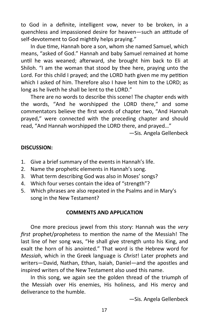to God in a definite, intelligent vow, never to be broken, in a quenchless and impassioned desire for heaven—such an attitude of self-devotement to God mightily helps praying."

In due time, Hannah bore a son, whom she named Samuel, which means, "asked of God." Hannah and baby Samuel remained at home until he was weaned; afterward, she brought him back to Eli at Shiloh. "I am the woman that stood by thee here, praying unto the Lord. For this child I prayed; and the LORD hath given me my petition which I asked of him. Therefore also I have lent him to the LORD; as long as he liveth he shall be lent to the LORD."

There are no words to describe this scene! The chapter ends with the words, "And he worshipped the LORD there," and some commentators believe the first words of chapter two, "And Hannah prayed," were connected with the preceding chapter and should read, "And Hannah worshipped the LORD there, and prayed…"

—Sis. Angela Gellenbeck

#### **DISCUSSION:**

- 1. Give a brief summary of the events in Hannah's life.
- 2. Name the prophetic elements in Hannah's song.
- 3. What term describing God was also in Moses' songs?
- 4. Which four verses contain the idea of "strength"?
- 5. Which phrases are also repeated in the Psalms and in Mary's song in the New Testament?

#### **COMMENTS AND APPLICATION**

One more precious jewel from this story: Hannah was the *very first* prophet/prophetess to mention the name of the Messiah! The last line of her song was, "He shall give strength unto his King, and exalt the horn of his anointed." That word is the Hebrew word for *Messiah*, which in the Greek language is *Christ*! Later prophets and writers—David, Nathan, Ethan, Isaiah, Daniel—and the apostles and inspired writers of the New Testament also used this name.

In this song, we again see the golden thread of the triumph of the Messiah over His enemies, His holiness, and His mercy and deliverance to the humble.

—Sis. Angela Gellenbeck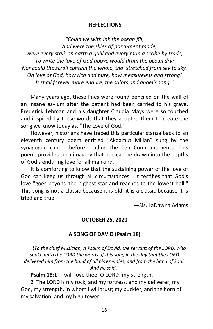#### **REFLECTIONS**

*"Could we with ink the ocean fill, And were the skies of parchment made; Were every stalk on earth a quill and every man a scribe by trade; To write the love of God above would drain the ocean dry; Nor could the scroll contain the whole, tho' stretched from sky to sky. Oh love of God, how rich and pure, how measureless and strong! It shall forever more endure, the saints and angel's song."*

Many years ago, these lines were found penciled on the wall of an insane asylum after the patient had been carried to his grave. Frederick Lehman and his daughter Claudia Mays were so touched and inspired by these words that they adapted them to create the song we know today as, "The Love of God."

However, historians have traced this particular stanza back to an eleventh century poem entitled "Akdamut Millan" sung by the synagogue cantor before reading the Ten Commandments. This poem provides such imagery that one can be drawn into the depths of God's enduring love for all mankind.

It is comforting to know that the sustaining power of the love of God can keep us through all circumstances. It testifies that God's love "goes beyond the highest star and reaches to the lowest hell." This song is not a classic because it is old; it is a classic because it is tried and true.

—Sis. LaDawna Adams

#### **OCTOBER 25, 2020**

#### **A SONG OF DAVID (Psalm 18)**

{*To the chief Musician, A Psalm of David, the servant of the LORD, who spake unto the LORD the words of this song in the day that the LORD delivered him from the hand of all his enemies, and from the hand of Saul: And he said*,}

**Psalm 18:1** I will love thee, O LORD, my strength.

**2** The LORD is my rock, and my fortress, and my deliverer; my God, my strength, in whom I will trust; my buckler, and the horn of my salvation, and my high tower.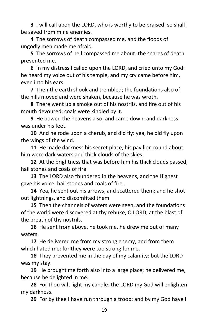**3** I will call upon the LORD, who is worthy to be praised: so shall I be saved from mine enemies.

**4** The sorrows of death compassed me, and the floods of ungodly men made me afraid.

**5** The sorrows of hell compassed me about: the snares of death prevented me.

**6** In my distress I called upon the LORD, and cried unto my God: he heard my voice out of his temple, and my cry came before him, even into his ears.

**7** Then the earth shook and trembled; the foundations also of the hills moved and were shaken, because he was wroth.

**8** There went up a smoke out of his nostrils, and fire out of his mouth devoured: coals were kindled by it.

**9** He bowed the heavens also, and came down: and darkness was under his feet.

**10** And he rode upon a cherub, and did fly: yea, he did fly upon the wings of the wind.

**11** He made darkness his secret place; his pavilion round about him were dark waters and thick clouds of the skies.

**12** At the brightness that was before him his thick clouds passed, hail stones and coals of fire.

**13** The LORD also thundered in the heavens, and the Highest gave his voice; hail stones and coals of fire.

**14** Yea, he sent out his arrows, and scattered them; and he shot out lightnings, and discomfited them.

**15** Then the channels of waters were seen, and the foundations of the world were discovered at thy rebuke, O LORD, at the blast of the breath of thy nostrils.

**16** He sent from above, he took me, he drew me out of many waters.

**17** He delivered me from my strong enemy, and from them which hated me: for they were too strong for me.

**18** They prevented me in the day of my calamity: but the LORD was my stay.

**19** He brought me forth also into a large place; he delivered me, because he delighted in me.

**28** For thou wilt light my candle: the LORD my God will enlighten my darkness.

**29** For by thee I have run through a troop; and by my God have I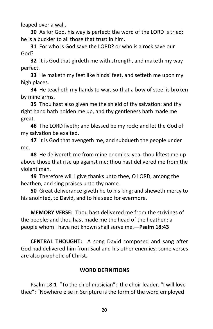leaped over a wall.

**30** As for God, his way is perfect: the word of the LORD is tried: he is a buckler to all those that trust in him.

**31** For who is God save the LORD? or who is a rock save our God?

**32** It is God that girdeth me with strength, and maketh my way perfect.

**33** He maketh my feet like hinds' feet, and setteth me upon my high places.

**34** He teacheth my hands to war, so that a bow of steel is broken by mine arms.

**35** Thou hast also given me the shield of thy salvation: and thy right hand hath holden me up, and thy gentleness hath made me great.

**46** The LORD liveth; and blessed be my rock; and let the God of my salvation be exalted.

**47** It is God that avengeth me, and subdueth the people under me.

**48** He delivereth me from mine enemies: yea, thou liftest me up above those that rise up against me: thou hast delivered me from the violent man.

**49** Therefore will I give thanks unto thee, O LORD, among the heathen, and sing praises unto thy name.

**50** Great deliverance giveth he to his king; and sheweth mercy to his anointed, to David, and to his seed for evermore.

**MEMORY VERSE:** Thou hast delivered me from the strivings of the people; and thou hast made me the head of the heathen: a people whom I have not known shall serve me.**—Psalm 18:43**

**CENTRAL THOUGHT:** A song David composed and sang after God had delivered him from Saul and his other enemies; some verses are also prophetic of Christ.

# **WORD DEFINITIONS**

Psalm 18:1 "To the chief musician": the choir leader. "I will love thee": "Nowhere else in Scripture is the form of the word employed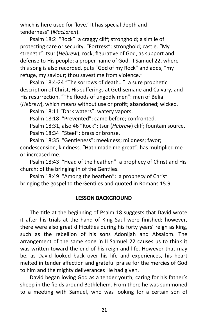which is here used for 'love.' It has special depth and tenderness" (*MacLaren*).

Psalm 18:2 "Rock": a craggy cliff; stronghold; a simile of protecting care or security. "Fortress": stronghold; castle. "My strength": tsur (*Hebrew*); rock; figurative of God, as support and defense to His people; a proper name of God. II Samuel 22, where this song is also recorded, puts "God of my Rock" and adds, "my refuge, my saviour; thou savest me from violence."

Psalm 18:4-24 "The sorrows of death…": a sure prophetic description of Christ, His sufferings at Gethsemane and Calvary, and His resurrection. "The floods of ungodly men": men of Belial (*Hebrew*), which means without use or profit; abandoned; wicked.

Psalm 18:11 "Dark waters": watery vapors.

Psalm 18:18 "Prevented": came before; confronted.

Psalm 18:31, also 46 "Rock": tsur (*Hebrew*) cliff; fountain source. Psalm 18:34 "Steel": brass or bronze.

Psalm 18:35 "Gentleness": meekness; mildness; favor; condescension; kindness. "Hath made me great": has multiplied me or increased me.

Psalm 18:43 "Head of the heathen": a prophecy of Christ and His church; of the bringing in of the Gentiles.

Psalm 18:49 "Among the heathen": a prophecy of Christ bringing the gospel to the Gentiles and quoted in Romans 15:9.

#### **LESSON BACKGROUND**

The title at the beginning of Psalm 18 suggests that David wrote it after his trials at the hand of King Saul were finished; however, there were also great difficulties during his forty years' reign as king, such as the rebellion of his sons Adonijah and Absalom. The arrangement of the same song in II Samuel 22 causes us to think it was written toward the end of his reign and life. However that may be, as David looked back over his life and experiences, his heart melted in tender affection and grateful praise for the mercies of God to him and the mighty deliverances He had given.

David began loving God as a tender youth, caring for his father's sheep in the fields around Bethlehem. From there he was summoned to a meeting with Samuel, who was looking for a certain son of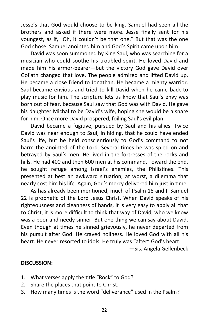Jesse's that God would choose to be king. Samuel had seen all the brothers and asked if there were more. Jesse finally sent for his youngest, as if, "Oh, it couldn't be that one." But that was the one God chose. Samuel anointed him and God's Spirit came upon him.

David was soon summoned by King Saul, who was searching for a musician who could soothe his troubled spirit. He loved David and made him his armor-bearer—but the victory God gave David over Goliath changed that love. The people admired and lifted David up. He became a close friend to Jonathan. He became a mighty warrior. Saul became envious and tried to kill David when he came back to play music for him. The scripture lets us know that Saul's envy was born out of fear, because Saul saw that God was with David. He gave his daughter Michal to be David's wife, hoping she would be a snare for him. Once more David prospered, foiling Saul's evil plan.

David became a fugitive, pursued by Saul and his allies. Twice David was near enough to Saul, in hiding, that he could have ended Saul's life, but he held conscientiously to God's command to not harm the anointed of the Lord. Several times he was spied on and betrayed by Saul's men. He lived in the fortresses of the rocks and hills. He had 400 and then 600 men at his command. Toward the end, he sought refuge among Israel's enemies, the Philistines. This presented at best an awkward situation; at worst, a dilemma that nearly cost him his life. Again, God's mercy delivered him just in time.

As has already been mentioned, much of Psalm 18 and II Samuel 22 is prophetic of the Lord Jesus Christ. When David speaks of his righteousness and cleanness of hands, it is very easy to apply all that to Christ; it is more difficult to think that way of David, who we know was a poor and needy sinner. But one thing we can say about David. Even though at times he sinned grievously, he never departed from his pursuit after God. He craved holiness. He loved God with all his heart. He never resorted to idols. He truly was "after" God's heart.

—Sis. Angela Gellenbeck

#### **DISCUSSION:**

- 1. What verses apply the title "Rock" to God?
- 2. Share the places that point to Christ.
- 3. How many times is the word "deliverance" used in the Psalm?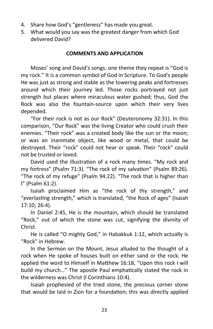- 4. Share how God's "gentleness" has made you great.
- 5. What would you say was the greatest danger from which God delivered David?

#### **COMMENTS AND APPLICATION**

Moses' song and David's songs: one theme they repeat is "God is my rock." It is a common symbol of God in Scripture. To God's people He was just as strong and stable as the towering peaks and fortresses around which their journey led. Those rocks portrayed not just strength but places where miraculous water gushed; thus, God the Rock was also the fountain-source upon which their very lives depended.

"For their rock is not as our Rock" (Deuteronomy 32:31). In this comparison, "Our Rock" was the living Creator who could crush their enemies. "Their rock" was a created body like the sun or the moon; or was an inanimate object, like wood or metal, that could be destroyed. Their "rock" could not hear or speak. Their "rock" could not be trusted or loved.

David used the illustration of a rock many times. "My rock and my fortress" (Psalm 71:3). "The rock of my salvation" (Psalm 89:26). "The rock of my refuge" (Psalm 94:22). "The rock that is higher than I" (Psalm 61:2).

Isaiah proclaimed Him as "the rock of thy strength," and "everlasting strength," which is translated, "the Rock of ages" (Isaiah 17:10; 26:4).

In Daniel 2:45, He is the mountain, which should be translated "Rock," out of which the stone was cut, signifying the divinity of Christ.

He is called "O mighty God," in Habakkuk 1:12, which actually is "Rock" in Hebrew.

In the Sermon on the Mount, Jesus alluded to the thought of a rock when He spoke of houses built on either sand or the rock. He applied the word to Himself in Matthew 16:18, "Upon this rock I will build my church…" The apostle Paul emphatically stated the rock in the wilderness was Christ (I Corinthians 10:4).

Isaiah prophesied of the tried stone, the precious corner stone that would be laid in Zion for a foundation; this was directly applied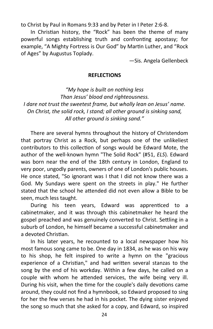to Christ by Paul in Romans 9:33 and by Peter in I Peter 2:6-8.

In Christian history, the "Rock" has been the theme of many powerful songs establishing truth and confronting apostasy; for example, "A Mighty Fortress is Our God" by Martin Luther, and "Rock of Ages" by Augustus Toplady.

—Sis. Angela Gellenbeck

#### **REFLECTIONS**

*"My hope is built on nothing less Than Jesus' blood and righteousness. I dare not trust the sweetest frame, but wholly lean on Jesus' name. On Christ, the solid rock, I stand; all other ground is sinking sand, All other ground is sinking sand."*

There are several hymns throughout the history of Christendom that portray Christ as a Rock, but perhaps one of the unlikeliest contributors to this collection of songs would be Edward Mote, the author of the well-known hymn "The Solid Rock" (#51, *ELS*). Edward was born near the end of the 18th century in London, England to very poor, ungodly parents, owners of one of London's public houses. He once stated, "So ignorant was I that I did not know there was a God. My Sundays were spent on the streets in play." He further stated that the school he attended did not even allow a Bible to be seen, much less taught.

During his teen years, Edward was apprenticed to a cabinetmaker, and it was through this cabinetmaker he heard the gospel preached and was genuinely converted to Christ. Settling in a suburb of London, he himself became a successful cabinetmaker and a devoted Christian.

In his later years, he recounted to a local newspaper how his most famous song came to be. One day in 1834, as he was on his way to his shop, he felt inspired to write a hymn on the "gracious experience of a Christian," and had written several stanzas to the song by the end of his workday. Within a few days, he called on a couple with whom he attended services, the wife being very ill. During his visit, when the time for the couple's daily devotions came around, they could not find a hymnbook, so Edward proposed to sing for her the few verses he had in his pocket. The dying sister enjoyed the song so much that she asked for a copy, and Edward, so inspired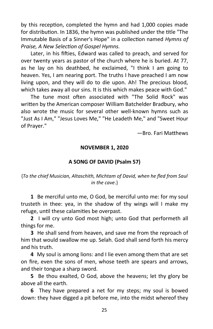by this reception, completed the hymn and had 1,000 copies made for distribution. In 1836, the hymn was published under the title "The Immutable Basis of a Sinner's Hope" in a collection named *Hymns of Praise, A New Selection of Gospel Hymns.*

Later, in his fifties, Edward was called to preach, and served for over twenty years as pastor of the church where he is buried. At 77, as he lay on his deathbed, he exclaimed, "I think I am going to heaven. Yes, I am nearing port. The truths I have preached I am now living upon, and they will do to die upon. Ah! The precious blood, which takes away all our sins. It is this which makes peace with God."

The tune most often associated with "The Solid Rock" was written by the American composer William Batchelder Bradbury, who also wrote the music for several other well-known hymns such as "Just As I Am," "Jesus Loves Me," "He Leadeth Me," and "Sweet Hour of Prayer."

—Bro. Fari Matthews

#### **NOVEMBER 1, 2020**

#### **A SONG OF DAVID (Psalm 57)**

#### {*To the chief Musician, Altaschith, Michtam of David, when he fled from Saul in the cave*.}

**1** Be merciful unto me, O God, be merciful unto me: for my soul trusteth in thee: yea, in the shadow of thy wings will I make my refuge, until these calamities be overpast.

**2** I will cry unto God most high; unto God that performeth all things for me.

**3** He shall send from heaven, and save me from the reproach of him that would swallow me up. Selah. God shall send forth his mercy and his truth.

**4** My soul is among lions: and I lie even among them that are set on fire, even the sons of men, whose teeth are spears and arrows, and their tongue a sharp sword.

**5** Be thou exalted, O God, above the heavens; let thy glory be above all the earth.

**6** They have prepared a net for my steps; my soul is bowed down: they have digged a pit before me, into the midst whereof they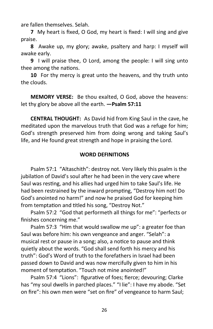are fallen themselves. Selah.

**7** My heart is fixed, O God, my heart is fixed: I will sing and give praise.

**8** Awake up, my glory; awake, psaltery and harp: I myself will awake early.

**9** I will praise thee, O Lord, among the people: I will sing unto thee among the nations.

**10** For thy mercy is great unto the heavens, and thy truth unto the clouds.

**MEMORY VERSE:** Be thou exalted, O God, above the heavens: let thy glory be above all the earth. **—Psalm 57:11**

**CENTRAL THOUGHT:** As David hid from King Saul in the cave, he meditated upon the marvelous truth that God was a refuge for him; God's strength preserved him from doing wrong and taking Saul's life, and He found great strength and hope in praising the Lord.

#### **WORD DEFINITIONS**

Psalm 57:1 "Altaschith": destroy not. Very likely this psalm is the jubilation of David's soul after he had been in the very cave where Saul was resting, and his allies had urged him to take Saul's life. He had been restrained by the inward prompting, "Destroy him not! Do God's anointed no harm!" and now he praised God for keeping him from temptation and titled his song, "Destroy Not."

Psalm 57:2 "God that performeth all things for me": "perfects or finishes concerning me."

Psalm 57:3 "Him that would swallow me up": a greater foe than Saul was before him: his own vengeance and anger. "Selah": a musical rest or pause in a song; also, a notice to pause and think quietly about the words. "God shall send forth his mercy and his truth": God's Word of truth to the forefathers in Israel had been passed down to David and was now mercifully given to him in his moment of temptation. "Touch not mine anointed!"

Psalm 57:4 "Lions": figurative of foes; fierce; devouring; Clarke has "my soul dwells in parched places." "I lie": I have my abode. "Set on fire": his own men were "set on fire" of vengeance to harm Saul;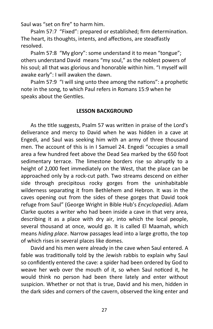Saul was "set on fire" to harm him.

Psalm 57:7 "Fixed": prepared or established; firm determination. The heart, its thoughts, intents, and affections, are steadfastly resolved.

Psalm 57:8 "My glory": some understand it to mean "tongue"; others understand David means "my soul," as the noblest powers of his soul; all that was glorious and honorable within him. "I myself will awake early": I will awaken the dawn.

Psalm 57:9 "I will sing unto thee among the nations": a prophetic note in the song, to which Paul refers in Romans 15:9 when he speaks about the Gentiles.

#### **LESSON BACKGROUND**

As the title suggests, Psalm 57 was written in praise of the Lord's deliverance and mercy to David when he was hidden in a cave at Engedi, and Saul was seeking him with an army of three thousand men. The account of this is in I Samuel 24. Engedi "occupies a small area a few hundred feet above the Dead Sea marked by the 650 foot sedimentary terrace. The limestone borders rise so abruptly to a height of 2,000 feet immediately on the West, that the place can be approached only by a rock-cut path. Two streams descend on either side through precipitous rocky gorges from the uninhabitable wilderness separating it from Bethlehem and Hebron. It was in the caves opening out from the sides of these gorges that David took refuge from Saul" (George Wright in Bible Hub's *Encyclopedia*). Adam Clarke quotes a writer who had been inside a cave in that very area, describing it as a place with dry air, into which the local people, several thousand at once, would go. It is called El Maamah, which means *hiding place*. Narrow passages lead into a large grotto, the top of which rises in several places like domes.

David and his men were already in the cave when Saul entered. A fable was traditionally told by the Jewish rabbis to explain why Saul so confidently entered the cave: a spider had been ordered by God to weave her web over the mouth of it, so when Saul noticed it, he would think no person had been there lately and enter without suspicion. Whether or not that is true, David and his men, hidden in the dark sides and corners of the cavern, observed the king enter and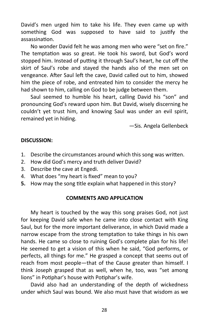David's men urged him to take his life. They even came up with something God was supposed to have said to justify the assassination.

No wonder David felt he was among men who were "set on fire." The temptation was so great. He took his sword, but God's word stopped him. Instead of putting it through Saul's heart, he cut off the skirt of Saul's robe and stayed the hands also of the men set on vengeance. After Saul left the cave, David called out to him, showed him the piece of robe, and entreated him to consider the mercy he had shown to him, calling on God to be judge between them.

Saul seemed to humble his heart, calling David his "son" and pronouncing God's reward upon him. But David, wisely discerning he couldn't yet trust him, and knowing Saul was under an evil spirit, remained yet in hiding.

—Sis. Angela Gellenbeck

#### **DISCUSSION:**

- 1. Describe the circumstances around which this song was written.
- 2. How did God's mercy and truth deliver David?
- 3. Describe the cave at Engedi.
- 4. What does "my heart is fixed" mean to you?
- **5.** How may the song title explain what happened in this story?

#### **COMMENTS AND APPLICATION**

My heart is touched by the way this song praises God, not just for keeping David safe when he came into close contact with King Saul, but for the more important deliverance, in which David made a narrow escape from the strong temptation to take things in his own hands. He came so close to ruining God's complete plan for his life! He seemed to get a vision of this when he said, "God performs, or perfects, all things for me." He grasped a concept that seems out of reach from most people—that of the Cause greater than himself. I think Joseph grasped that as well, when he, too, was "set among lions" in Potiphar's house with Potiphar's wife.

David also had an understanding of the depth of wickedness under which Saul was bound. We also must have that wisdom as we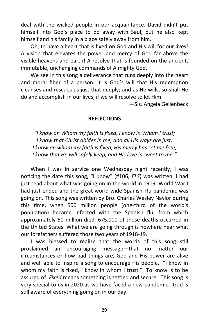deal with the wicked people in our acquaintance. David didn't put himself into God's place to do away with Saul, but he also kept himself and his family in a place safely away from him.

Oh, to have a heart that is fixed on God and His will for our lives! A vision that elevates the power and mercy of God far above the visible heavens and earth! A resolve that is founded on the ancient, immutable, unchanging commands of Almighty God.

We see in this song a deliverance that runs deeply into the heart and moral fiber of a person. It is God's will that His redemption cleanses and rescues us just that deeply; and as He wills, so shall He do and accomplish in our lives, if we will resolve to let Him.

—Sis. Angela Gellenbeck

#### **REFLECTIONS**

*"I know on Whom my faith is fixed, I know in Whom I trust; I know that Christ abides in me, and all His ways are just. I know on whom my faith is fixed, His mercy has set me free; I know that He will safely keep, and His love is sweet to me."*

When I was in service one Wednesday night recently, I was noticing the date this song, "I Know" (#106, *ELS*) was written. I had just read about what was going on in the world in 1919. World War I had just ended and the great world-wide Spanish Flu pandemic was going on. This song was written by Bro. Charles Wesley Naylor during this time, when 500 million people (one-third of the world's population) became infected with the Spanish flu, from which approximately 50 million died. 675,000 of those deaths occurred in the United States. What we are going through is nowhere near what our forefathers suffered those two years of 1918-19.

I was blessed to realize that the words of this song still proclaimed an encouraging message—that no matter our circumstances or how bad things are, God and His power are alive and well able to inspire a song to encourage His people. "I know in whom my faith is fixed, I know in whom I trust." To know is to be assured of. *Fixed* means something is settled and secure. This song is very special to us in 2020 as we have faced a new pandemic. God is still aware of everything going on in our day.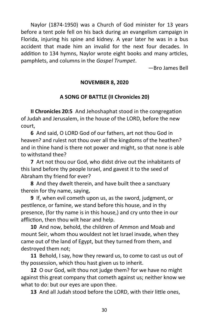Naylor (1874-1950) was a Church of God minister for 13 years before a tent pole fell on his back during an evangelism campaign in Florida, injuring his spine and kidney. A year later he was in a bus accident that made him an invalid for the next four decades. In addition to 134 hymns, Naylor wrote eight books and many articles, pamphlets, and columns in the *Gospel Trumpet*.

—Bro James Bell

# **NOVEMBER 8, 2020**

# **A SONG OF BATTLE (II Chronicles 20)**

**II Chronicles 20:5** And Jehoshaphat stood in the congregation of Judah and Jerusalem, in the house of the LORD, before the new court,

**6** And said, O LORD God of our fathers, art not thou God in heaven? and rulest not thou over all the kingdoms of the heathen? and in thine hand is there not power and might, so that none is able to withstand thee?

**7** Art not thou our God, who didst drive out the inhabitants of this land before thy people Israel, and gavest it to the seed of Abraham thy friend for ever?

**8** And they dwelt therein, and have built thee a sanctuary therein for thy name, saying,

**9** If, when evil cometh upon us, as the sword, judgment, or pestilence, or famine, we stand before this house, and in thy presence, (for thy name is in this house,) and cry unto thee in our affliction, then thou wilt hear and help.

**10** And now, behold, the children of Ammon and Moab and mount Seir, whom thou wouldest not let Israel invade, when they came out of the land of Egypt, but they turned from them, and destroyed them not;

**11** Behold, I say, how they reward us, to come to cast us out of thy possession, which thou hast given us to inherit.

**12** O our God, wilt thou not judge them? for we have no might against this great company that cometh against us; neither know we what to do: but our eyes are upon thee.

**13** And all Judah stood before the LORD, with their little ones,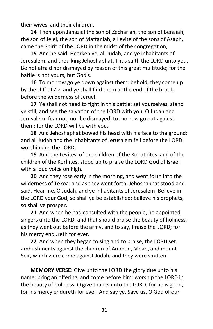their wives, and their children.

**14** Then upon Jahaziel the son of Zechariah, the son of Benaiah, the son of Jeiel, the son of Mattaniah, a Levite of the sons of Asaph, came the Spirit of the LORD in the midst of the congregation;

**15** And he said, Hearken ye, all Judah, and ye inhabitants of Jerusalem, and thou king Jehoshaphat, Thus saith the LORD unto you, Be not afraid nor dismayed by reason of this great multitude; for the battle is not yours, but God's.

**16** To morrow go ye down against them: behold, they come up by the cliff of Ziz; and ye shall find them at the end of the brook, before the wilderness of Jeruel.

**17** Ye shall not need to fight in this battle: set yourselves, stand ye still, and see the salvation of the LORD with you, O Judah and Jerusalem: fear not, nor be dismayed; to morrow go out against them: for the LORD will be with you.

**18** And Jehoshaphat bowed his head with his face to the ground: and all Judah and the inhabitants of Jerusalem fell before the LORD, worshipping the LORD.

**19** And the Levites, of the children of the Kohathites, and of the children of the Korhites, stood up to praise the LORD God of Israel with a loud voice on high.

**20** And they rose early in the morning, and went forth into the wilderness of Tekoa: and as they went forth, Jehoshaphat stood and said, Hear me, O Judah, and ye inhabitants of Jerusalem; Believe in the LORD your God, so shall ye be established; believe his prophets, so shall ye prosper.

**21** And when he had consulted with the people, he appointed singers unto the LORD, and that should praise the beauty of holiness, as they went out before the army, and to say, Praise the LORD; for his mercy endureth for ever.

**22** And when they began to sing and to praise, the LORD set ambushments against the children of Ammon, Moab, and mount Seir, which were come against Judah; and they were smitten.

**MEMORY VERSE:** Give unto the LORD the glory due unto his name: bring an offering, and come before him: worship the LORD in the beauty of holiness. O give thanks unto the LORD; for he is good; for his mercy endureth for ever. And say ye, Save us, O God of our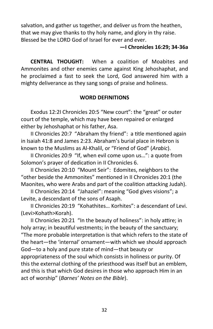salvation, and gather us together, and deliver us from the heathen, that we may give thanks to thy holy name, and glory in thy raise. Blessed be the LORD God of Israel for ever and ever.

#### **—I Chronicles 16:29; 34-36a**

**CENTRAL THOUGHT:** When a coalition of Moabites and Ammonites and other enemies came against King Jehoshaphat, and he proclaimed a fast to seek the Lord, God answered him with a mighty deliverance as they sang songs of praise and holiness.

# **WORD DEFINITIONS**

Exodus 12:2I Chronicles 20:5 "New court": the "great" or outer court of the temple, which may have been repaired or enlarged either by Jehoshaphat or his father, Asa.

II Chronicles 20:7 "Abraham thy friend": a title mentioned again in Isaiah 41:8 and James 2:23. Abraham's burial place in Hebron is known to the Muslims as Al-Khalil, or "Friend of God" (*Arabic*).

II Chronicles 20:9 "If, when evil come upon us…": a quote from Solomon's prayer of dedication in II Chronicles 6.

II Chronicles 20:10 "Mount Seir": Edomites, neighbors to the "other beside the Ammonites" mentioned in II Chronicles 20:1 (the Maonites, who were Arabs and part of the coalition attacking Judah).

II Chronicles 20:14 "Jahaziel": meaning "God gives visions"; a Levite, a descendant of the sons of Asaph.

II Chronicles 20:19 "Kohathites… Korhites": a descendant of Levi. (Levi>Kohath>Korah).

II Chronicles 20:21 "In the beauty of holiness": in holy attire; in holy array; in beautiful vestments; in the beauty of the sanctuary; "The more probable interpretation is that which refers to the state of the heart—the 'internal' ornament—with which we should approach God—to a holy and pure state of mind—that beauty or appropriateness of the soul which consists in holiness or purity. Of this the external clothing of the priesthood was itself but an emblem, and this is that which God desires in those who approach Him in an act of worship" (*Barnes' Notes on the Bible*).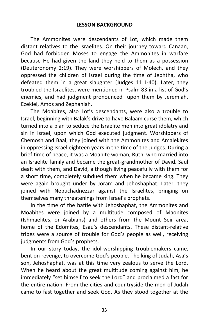The Ammonites were descendants of Lot, which made them distant relatives to the Israelites. On their journey toward Canaan, God had forbidden Moses to engage the Ammonites in warfare because He had given the land they held to them as a possession (Deuteronomy 2:19). They were worshippers of Molech, and they oppressed the children of Israel during the time of Jephtha, who defeated them in a great slaughter (Judges 11:1-40). Later, they troubled the Israelites, were mentioned in Psalm 83 in a list of God's enemies, and had judgment pronounced upon them by Jeremiah, Ezekiel, Amos and Zephaniah.

The Moabites, also Lot's descendants, were also a trouble to Israel, beginning with Balak's drive to have Balaam curse them, which turned into a plan to seduce the Israelite men into great idolatry and sin in Israel, upon which God executed judgment. Worshippers of Chemosh and Baal, they joined with the Ammonites and Amalekites in oppressing Israel eighteen years in the time of the Judges. During a brief time of peace, it was a Moabite woman, Ruth, who married into an Israelite family and became the great-grandmother of David. Saul dealt with them, and David, although living peacefully with them for a short time, completely subdued them when he became king. They were again brought under by Joram and Jehoshaphat. Later, they joined with Nebuchadnezzar against the Israelites, bringing on themselves many threatenings from Israel's prophets.

In the time of the battle with Jehoshaphat, the Ammonites and Moabites were joined by a multitude composed of Maonites (Ishmaelites, or Arabians) and others from the Mount Seir area, home of the Edomites, Esau's descendants. These distant-relative tribes were a source of trouble for God's people as well, receiving judgments from God's prophets.

In our story today, the idol-worshipping troublemakers came, bent on revenge, to overcome God's people. The king of Judah, Asa's son, Jehoshaphat, was at this time very zealous to serve the Lord. When he heard about the great multitude coming against him, he immediately "set himself to seek the Lord" and proclaimed a fast for the entire nation. From the cities and countryside the men of Judah came to fast together and seek God. As they stood together at the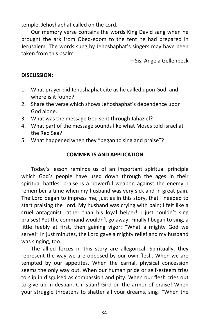temple, Jehoshaphat called on the Lord.

Our memory verse contains the words King David sang when he brought the ark from Obed-edom to the tent he had prepared in Jerusalem. The words sung by Jehoshaphat's singers may have been taken from this psalm.

—Sis. Angela Gellenbeck

#### **DISCUSSION:**

- 1. What prayer did Jehoshaphat cite as he called upon God, and where is it found?
- 2. Share the verse which shows Jehoshaphat's dependence upon God alone.
- 3. What was the message God sent through Jahaziel?
- 4. What part of the message sounds like what Moses told Israel at the Red Sea?
- 5. What happened when they "began to sing and praise"?

#### **COMMENTS AND APPLICATION**

Today's lesson reminds us of an important spiritual principle which God's people have used down through the ages in their spiritual battles: praise is a powerful weapon against the enemy. I remember a time when my husband was very sick and in great pain. The Lord began to impress me, just as in this story, that I needed to start praising the Lord. My husband was crying with pain; I felt like a cruel antagonist rather than his loyal helper! I just couldn't sing praises! Yet the command wouldn't go away. Finally I began to sing, a little feebly at first, then gaining vigor: "What a mighty God we serve!" In just minutes, the Lord gave a mighty relief and my husband was singing, too.

The allied forces in this story are allegorical. Spiritually, they represent the way we are opposed by our own flesh. When we are tempted by our appetites. When the carnal, physical concession seems the only way out. When our human pride or self-esteem tries to slip in disguised as compassion and pity. When our flesh cries out to give up in despair. Christian! Gird on the armor of praise! When your struggle threatens to shatter all your dreams, sing! "When the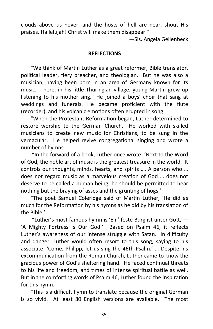clouds above us hover, and the hosts of hell are near, shout His praises, Hallelujah! Christ will make them disappear."

—Sis. Angela Gellenbeck

#### **REFLECTIONS**

"We think of Martin Luther as a great reformer, Bible translator, political leader, fiery preacher, and theologian. But he was also a musician, having been born in an area of Germany known for its music. There, in his little Thuringian village, young Martin grew up listening to his mother sing. He joined a boys' choir that sang at weddings and funerals. He became proficient with the flute (recorder), and his volcanic emotions often erupted in song.

"When the Protestant Reformation began, Luther determined to restore worship to the German Church. He worked with skilled musicians to create new music for Christians, to be sung in the vernacular. He helped revive congregational singing and wrote a number of hymns.

 "In the forward of a book, Luther once wrote: 'Next to the Word of God, the noble art of music is the greatest treasure in the world. It controls our thoughts, minds, hearts, and spirits …. A person who … does not regard music as a marvelous creation of God … does not deserve to be called a human being; he should be permitted to hear nothing but the braying of asses and the grunting of hogs.'

 "The poet Samuel Coleridge said of Martin Luther, 'He did as much for the Reformation by his hymns as he did by his translation of the Bible.'

 "Luther's most famous hymn is 'Ein' feste Burg ist unser Gott,'— 'A Mighty Fortress Is Our God.' Based on Psalm 46, it reflects Luther's awareness of our intense struggle with Satan. In difficulty and danger, Luther would often resort to this song, saying to his associate, 'Come, Philipp, let us sing the 46th Psalm.' … Despite his excommunication from the Roman Church, Luther came to know the gracious power of God's sheltering hand. He faced continual threats to his life and freedom, and times of intense spiritual battle as well. But in the comforting words of Psalm 46, Luther found the inspiration for this hymn.

 "This is a difficult hymn to translate because the original German is so vivid. At least 80 English versions are available. The most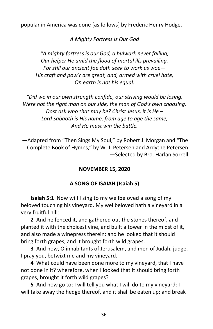popular in America was done [as follows] by Frederic Henry Hodge.

*A Mighty Fortress Is Our God*

*"A mighty fortress is our God, a bulwark never failing; Our helper He amid the flood of mortal ills prevailing. For still our ancient foe doth seek to work us woe— His craft and pow'r are great, and, armed with cruel hate, On earth is not his equal.*

*"Did we in our own strength confide, our striving would be losing, Were not the right man on our side, the man of God's own choosing. Dost ask who that may be? Christ Jesus, it is He – Lord Sabaoth is His name, from age to age the same, And He must win the battle.*

—Adapted from "Then Sings My Soul," by Robert J. Morgan and "The Complete Book of Hymns," by W. J. Petersen and Ardythe Petersen —Selected by Bro. Harlan Sorrell

## **NOVEMBER 15, 2020**

## **A SONG OF ISAIAH (Isaiah 5)**

**Isaiah 5:1** Now will I sing to my wellbeloved a song of my beloved touching his vineyard. My wellbeloved hath a vineyard in a very fruitful hill:

**2** And he fenced it, and gathered out the stones thereof, and planted it with the choicest vine, and built a tower in the midst of it, and also made a winepress therein: and he looked that it should bring forth grapes, and it brought forth wild grapes.

**3** And now, O inhabitants of Jerusalem, and men of Judah, judge, I pray you, betwixt me and my vineyard.

**4** What could have been done more to my vineyard, that I have not done in it? wherefore, when I looked that it should bring forth grapes, brought it forth wild grapes?

**5** And now go to; I will tell you what I will do to my vineyard: I will take away the hedge thereof, and it shall be eaten up; and break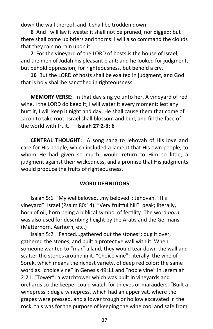down the wall thereof, and it shall be trodden down:

**6** And I will lay it waste: it shall not be pruned, nor digged; but there shall come up briers and thorns: I will also command the clouds that they rain no rain upon it.

**7** For the vineyard of the LORD of hosts is the house of Israel, and the men of Judah his pleasant plant: and he looked for judgment, but behold oppression; for righteousness, but behold a cry.

**16** But the LORD of hosts shall be exalted in judgment, and God that is holy shall be sanctified in righteousness.

**MEMORY VERSE:** In that day sing ye unto her, A vineyard of red wine. I the LORD do keep it; I will water it every moment: lest any hurt it, I will keep it night and day. He shall cause them that come of Jacob to take root: Israel shall blossom and bud, and fill the face of the world with fruit. **—Isaiah 27:2-3; 6**

**CENTRAL THOUGHT:** A song sang to Jehovah of His love and care for His people, which included a lament that His own people, to whom He had given so much, would return to Him so little; a judgment against their wickedness, and a promise that His judgments would produce the fruits of righteousness.

#### **WORD DEFINITIONS**

Isaiah 5:1 "My wellbeloved...my beloved": Jehovah. "His vineyard": Israel (Psalm 80:14). "Very fruitful hill": peak; literally, horn of oil; horn being a biblical symbol of fertility. The word *horn* was also used for describing height by the Arabs and the Germans (Matterhorn, Aarhorn, etc.)

Isaiah 5:2 "Fenced...gathered out the stones": dug it over, gathered the stones, and built a protective wall with it. When someone wanted to "mar" a land, they would tear down the wall and scatter the stones around in it. "Choice vine": literally, the vine of Sorek, which means the richest variety, of deep red color; the same word as "choice vine" in Genesis 49:11 and "noble vine" in Jeremiah 2:21. "Tower": a watchtower which was built in vineyards and orchards so the keeper could watch for thieves or marauders. "Built a winepress": dug a winepress, which had an upper vat, where the grapes were pressed, and a lower trough or hollow excavated in the rock; this was for the purpose of keeping the wine cool and safe from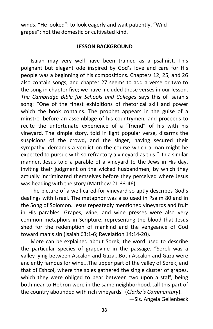winds. "He looked": to look eagerly and wait patiently. "Wild grapes": not the domestic or cultivated kind.

#### **LESSON BACKGROUND**

Isaiah may very well have been trained as a psalmist. This poignant but elegant ode inspired by God's love and care for His people was a beginning of his compositions. Chapters 12, 25, and 26 also contain songs, and chapter 27 seems to add a verse or two to the song in chapter five; we have included those verses in our lesson. *The Cambridge Bible for Schools and Colleges* says this of Isaiah's song: "One of the finest exhibitions of rhetorical skill and power which the book contains. The prophet appears in the guise of a minstrel before an assemblage of his countrymen, and proceeds to recite the unfortunate experience of a "friend" of his with his vineyard. The simple story, told in light popular verse, disarms the suspicions of the crowd, and the singer, having secured their sympathy, demands a verdict on the course which a man might be expected to pursue with so refractory a vineyard as this." In a similar manner, Jesus told a parable of a vineyard to the Jews in His day, inviting their judgment on the wicked husbandmen, by which they actually incriminated themselves before they perceived where Jesus was heading with the story (Matthew 21:33-46).

The picture of a well-cared-for vineyard so aptly describes God's dealings with Israel. The metaphor was also used in Psalm 80 and in the Song of Solomon. Jesus repeatedly mentioned vineyards and fruit in His parables. Grapes, wine, and wine presses were also very common metaphors in Scripture, representing the blood that Jesus shed for the redemption of mankind and the vengeance of God toward man's sin (Isaiah 63:1-6; Revelation 14:14-20).

More can be explained about Sorek, the word used to describe the particular species of grapevine in the passage. "Sorek was a valley lying between Ascalon and Gaza...Both Ascalon and Gaza were anciently famous for wine...The upper part of the valley of Sorek, and that of Eshcol, where the spies gathered the single cluster of grapes, which they were obliged to bear between two upon a staff, being both near to Hebron were in the same neighborhood...all this part of the country abounded with rich vineyards" (*Clarke's Commentary*).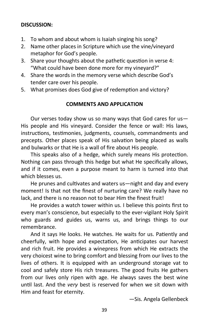## **DISCUSSION:**

- 1. To whom and about whom is Isaiah singing his song?
- 2. Name other places in Scripture which use the vine/vineyard metaphor for God's people.
- 3. Share your thoughts about the pathetic question in verse 4: "What could have been done more for my vineyard?"
- 4. Share the words in the memory verse which describe God's tender care over his people.
- 5. What promises does God give of redemption and victory?

## **COMMENTS AND APPLICATION**

Our verses today show us so many ways that God cares for us— His people and His vineyard. Consider the fence or wall: His laws, instructions, testimonies, judgments, counsels, commandments and precepts. Other places speak of His salvation being placed as walls and bulwarks or that He is a wall of fire about His people.

This speaks also of a hedge, which surely means His protection. Nothing can pass through this hedge but what He specifically allows, and if it comes, even a purpose meant to harm is turned into that which blesses us.

He prunes and cultivates and waters us—night and day and every moment! Is that not the finest of nurturing care? We really have no lack, and there is no reason not to bear Him the finest fruit!

He provides a watch tower within us. I believe this points first to every man's conscience, but especially to the ever-vigilant Holy Spirit who guards and guides us, warns us, and brings things to our remembrance.

And it says He looks. He watches. He waits for us. Patiently and cheerfully, with hope and expectation, He anticipates our harvest and rich fruit. He provides a winepress from which He extracts the very choicest wine to bring comfort and blessing from our lives to the lives of others. It is equipped with an underground storage vat to cool and safely store His rich treasures. The good fruits He gathers from our lives only ripen with age. He always saves the best wine until last. And the *very* best is reserved for when we sit down with Him and feast for eternity.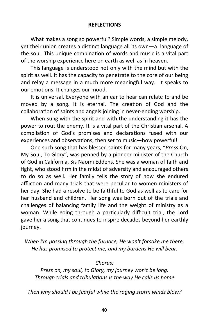#### **REFLECTIONS**

What makes a song so powerful? Simple words, a simple melody, yet their union creates a distinct language all its own—a language of the soul. This unique combination of words and music is a vital part of the worship experience here on earth as well as in heaven.

This language is understood not only with the mind but with the spirit as well. It has the capacity to penetrate to the core of our being and relay a message in a much more meaningful way. It speaks to our emotions. It changes our mood.

It is universal. Everyone with an ear to hear can relate to and be moved by a song. It is eternal. The creation of God and the collaboration of saints and angels joining in never-ending worship.

When sung with the spirit and with the understanding it has the power to rout the enemy. It is a vital part of the Christian arsenal. A compilation of God's promises and declarations fused with our experiences and observations, then set to music—how powerful!

One such song that has blessed saints for many years, "*Press* On, My Soul, To Glory", was penned by a pioneer minister of the Church of God in California, Sis Naomi Eddens. She was a woman of faith and fight, who stood firm in the midst of adversity and encouraged others to do so as well. Her family tells the story of how she endured affliction and many trials that were peculiar to women ministers of her day. She had a resolve to be faithful to God as well as to care for her husband and children. Her song was born out of the trials and challenges of balancing family life and the weight of ministry as a woman. While going through a particularly difficult trial, the Lord gave her a song that continues to inspire decades beyond her earthly journey.

*When I'm passing through the furnace, He won't forsake me there; He has promised to protect me, and my burdens He will bear.*

## *Chorus:*

*Press on, my soul, to Glory, my journey won't be long. Through trials and tribulations is the way He calls us home*

*Then why should I be fearful while the raging storm winds blow?*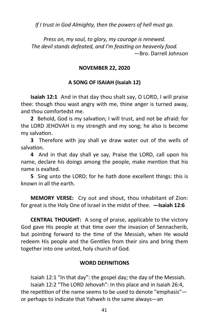*If I trust in God Almighty, then the powers of hell must go.*

*Press on, my soul, to glory, my courage is renewed. The devil stands defeated, and I'm feasting on heavenly food.* —Bro. Darrell Johnson

#### **NOVEMBER 22, 2020**

#### **A SONG OF ISAIAH (Isaiah 12)**

**Isaiah 12:1** And in that day thou shalt say, O LORD, I will praise thee: though thou wast angry with me, thine anger is turned away, and thou comfortedst me.

**2** Behold, God is my salvation; I will trust, and not be afraid: for the LORD JEHOVAH is my strength and my song; he also is become my salvation.

**3** Therefore with joy shall ye draw water out of the wells of salvation.

**4** And in that day shall ye say, Praise the LORD, call upon his name, declare his doings among the people, make mention that his name is exalted.

**5** Sing unto the LORD; for he hath done excellent things: this is known in all the earth.

**MEMORY VERSE:** Cry out and shout, thou inhabitant of Zion: for great is the Holy One of Israel in the midst of thee. **—Isaiah 12:6**

**CENTRAL THOUGHT:** A song of praise, applicable to the victory God gave His people at that time over the invasion of Sennacherib, but pointing forward to the time of the Messiah, when He would redeem His people and the Gentiles from their sins and bring them together into one united, holy church of God.

#### **WORD DEFINITIONS**

Isaiah 12:1 "In that day": the gospel day; the day of the Messiah. Isaiah 12:2 "The LORD Jehovah": In this place and in Isaiah 26:4, the repetition of the name seems to be used to denote "emphasis" or perhaps to indicate that Yahweh is the same always—an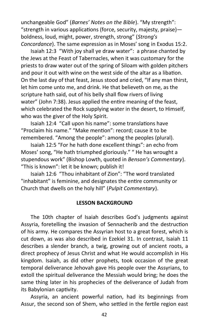unchangeable God" (*Barnes' Notes on the Bible*). "My strength": "strength in various applications (force, security, majesty, praise) boldness, loud, might, power, strength, strong" (*Strong's Concordance*). The same expression as in Moses' song in Exodus 15:2.

Isaiah 12:3 "With joy shall ye draw water": a phrase chanted by the Jews at the Feast of Tabernacles, when it was customary for the priests to draw water out of the spring of Siloam with golden pitchers and pour it out with wine on the west side of the altar as a libation. On the last day of that feast, Jesus stood and cried, "If any man thirst, let him come unto me, and drink. He that believeth on me, as the scripture hath said, out of his belly shall flow rivers of living water" (John 7:38). Jesus applied the entire meaning of the feast, which celebrated the Rock supplying water in the desert, to Himself, who was the giver of the Holy Spirit.

Isaiah 12:4 "Call upon his name": some translations have "Proclaim his name." "Make mention": record; cause it to be remembered. "Among the people": among the peoples (plural).

Isaiah 12:5 "For he hath done excellent things": an echo from Moses' song, "He hath triumphed gloriously." " He has wrought a stupendous work" (Bishop Lowth, quoted in *Benson's Commentary*). "This is known": let it be known; publish it!

Isaiah 12:6 "Thou inhabitant of Zion": "The word translated "inhabitant" is feminine, and designates the entire community or Church that dwells on the holy hill" (*Pulpit Commentary*).

#### **LESSON BACKGROUND**

The 10th chapter of Isaiah describes God's judgments against Assyria, foretelling the invasion of Sennacherib and the destruction of his army. He compares the Assyrian host to a great forest, which is cut down, as was also described in Ezekiel 31. In contrast, Isaiah 11 describes a slender branch, a twig, growing out of ancient roots, a direct prophecy of Jesus Christ and what He would accomplish in His kingdom. Isaiah, as did other prophets, took occasion of the great temporal deliverance Jehovah gave His people over the Assyrians, to extoll the spiritual deliverance the Messiah would bring; he does the same thing later in his prophecies of the deliverance of Judah from its Babylonian captivity.

Assyria, an ancient powerful nation, had its beginnings from Assur, the second son of Shem, who settled in the fertile region east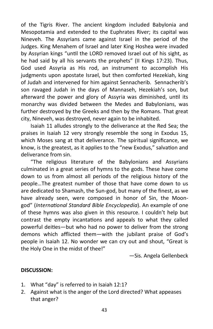of the Tigris River. The ancient kingdom included Babylonia and Mesopotamia and extended to the Euphrates River; its capital was Nineveh. The Assyrians came against Israel in the period of the Judges. King Menahem of Israel and later King Hoshea were invaded by Assyrian kings "until the LORD removed Israel out of his sight, as he had said by all his servants the prophets" (II Kings 17:23). Thus, God used Assyria as His rod, an instrument to accomplish His judgments upon apostate Israel, but then comforted Hezekiah, king of Judah and intervened for him against Sennacherib. Sennacherib's son ravaged Judah in the days of Mannaseh, Hezekiah's son, but afterward the power and glory of Assyria was diminished, until its monarchy was divided between the Medes and Babylonians, was further destroyed by the Greeks and then by the Romans. That great city, Nineveh, was destroyed, never again to be inhabited.

Isaiah 11 alludes strongly to the deliverance at the Red Sea; the praises in Isaiah 12 very strongly resemble the song in Exodus 15, which Moses sang at that deliverance. The spiritual significance, we know, is the greatest, as it applies to the "new Exodus," salvation and deliverance from sin.

"The religious literature of the Babylonians and Assyrians culminated in a great series of hymns to the gods. These have come down to us from almost all periods of the religious history of the people…The greatest number of those that have come down to us are dedicated to Shamash, the Sun-god, but many of the finest, as we have already seen, were composed in honor of Sin, the Moongod" (*International Standard Bible Encyclopedia*). An example of one of these hymns was also given in this resource. I couldn't help but contrast the empty incantations and appeals to what they called powerful deities—but who had no power to deliver from the strong demons which afflicted them—with the jubilant praise of God's people in Isaiah 12. No wonder we can cry out and shout, "Great is the Holy One in the midst of thee!"

—Sis. Angela Gellenbeck

## **DISCUSSION:**

- 1. What "day" is referred to in Isaiah 12:1?
- 2. Against what is the anger of the Lord directed? What appeases that anger?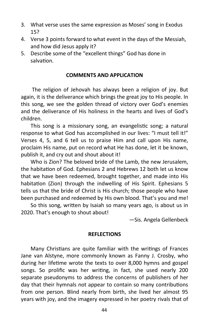- 3. What verse uses the same expression as Moses' song in Exodus 15?
- 4. Verse 3 points forward to what event in the days of the Messiah, and how did Jesus apply it?
- 5. Describe some of the "excellent things" God has done in salvation.

#### **COMMENTS AND APPLICATION**

The religion of Jehovah has always been a religion of joy. But again, it is the deliverance which brings the great joy to His people. In this song, we see the golden thread of victory over God's enemies and the deliverance of His holiness in the hearts and lives of God's children.

This song is a missionary song, an evangelistic song; a natural response to what God has accomplished in our lives: "I must tell it!" Verses 4, 5, and 6 tell us to praise Him and call upon His name, proclaim His name, put on record what He has done, let it be known, publish it, and cry out and shout about it!

Who is Zion? The beloved bride of the Lamb, the new Jerusalem, the habitation of God. Ephesians 2 and Hebrews 12 both let us know that we have been redeemed, brought together, and made into His habitation (Zion) through the indwelling of His Spirit. Ephesians 5 tells us that the bride of Christ is His church; those people who have been purchased and redeemed by His own blood. That's you and me!

So this song, written by Isaiah so many years ago, is about us in 2020. That's enough to shout about!

—Sis. Angela Gellenbeck

#### **REFLECTIONS**

Many Christians are quite familiar with the writings of Frances Jane van Alstyne, more commonly known as Fanny J. Crosby, who during her lifetime wrote the texts to over 8,000 hymns and gospel songs. So prolific was her writing, in fact, she used nearly 200 separate pseudonyms to address the concerns of publishers of her day that their hymnals not appear to contain so many contributions from one person. Blind nearly from birth, she lived her almost 95 years with joy, and the imagery expressed in her poetry rivals that of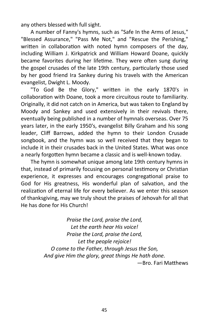any others blessed with full sight.

A number of Fanny's hymns, such as "Safe In the Arms of Jesus," "Blessed Assurance," "Pass Me Not," and "Rescue the Perishing," written in collaboration with noted hymn composers of the day, including William J. Kirkpatrick and William Howard Doane, quickly became favorites during her lifetime. They were often sung during the gospel crusades of the late 19th century, particularly those used by her good friend Ira Sankey during his travels with the American evangelist, Dwight L. Moody.

"To God Be the Glory," written in the early 1870's in collaboration with Doane, took a more circuitous route to familiarity. Originally, it did not catch on in America, but was taken to England by Moody and Sankey and used extensively in their revivals there, eventually being published in a number of hymnals overseas. Over 75 years later, in the early 1950's, evangelist Billy Graham and his song leader, Cliff Barrows, added the hymn to their London Crusade songbook, and the hymn was so well received that they began to include it in their crusades back in the United States. What was once a nearly forgotten hymn became a classic and is well-known today.

The hymn is somewhat unique among late 19th century hymns in that, instead of primarily focusing on personal testimony or Christian experience, it expresses and encourages congregational praise to God for His greatness, His wonderful plan of salvation, and the realization of eternal life for every believer. As we enter this season of thanksgiving, may we truly shout the praises of Jehovah for all that He has done for His Church!

> *Praise the Lord, praise the Lord, Let the earth hear His voice! Praise the Lord, praise the Lord, Let the people rejoice! O come to the Father, through Jesus the Son, And give Him the glory, great things He hath done.* —Bro. Fari Matthews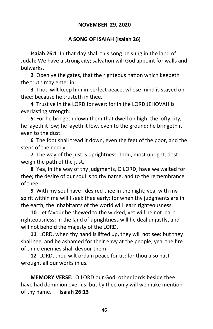## **NOVEMBER 29, 2020**

## **A SONG OF ISAIAH (Isaiah 26)**

**Isaiah 26:1** In that day shall this song be sung in the land of Judah; We have a strong city; salvation will God appoint for walls and bulwarks.

**2** Open ye the gates, that the righteous nation which keepeth the truth may enter in.

**3** Thou wilt keep him in perfect peace, whose mind is stayed on thee: because he trusteth in thee.

**4** Trust ye in the LORD for ever: for in the LORD JEHOVAH is everlasting strength:

**5** For he bringeth down them that dwell on high; the lofty city, he layeth it low; he layeth it low, even to the ground; he bringeth it even to the dust.

**6** The foot shall tread it down, even the feet of the poor, and the steps of the needy.

**7** The way of the just is uprightness: thou, most upright, dost weigh the path of the just.

**8** Yea, in the way of thy judgments, O LORD, have we waited for thee; the desire of our soul is to thy name, and to the remembrance of thee.

**9** With my soul have I desired thee in the night; yea, with my spirit within me will I seek thee early: for when thy judgments are in the earth, the inhabitants of the world will learn righteousness.

**10** Let favour be shewed to the wicked, yet will he not learn righteousness: in the land of uprightness will he deal unjustly, and will not behold the majesty of the LORD.

**11** LORD, when thy hand is lifted up, they will not see: but they shall see, and be ashamed for their envy at the people; yea, the fire of thine enemies shall devour them.

**12** LORD, thou wilt ordain peace for us: for thou also hast wrought all our works in us.

**MEMORY VERSE:** O LORD our God, other lords beside thee have had dominion over us: but by thee only will we make mention of thy name. **—Isaiah 26:13**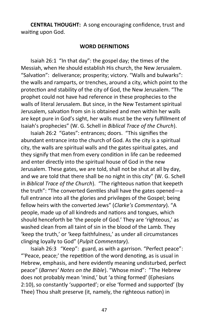**CENTRAL THOUGHT:** A song encouraging confidence, trust and waiting upon God.

#### **WORD DEFINITIONS**

Isaiah 26:1 "In that day": the gospel day; the times of the Messiah, when He should establish His church, the New Jerusalem. "Salvation": deliverance; prosperity; victory. "Walls and bulwarks": the walls and ramparts, or trenches, around a city, which point to the protection and stability of the city of God, the New Jerusalem. "The prophet could not have had reference in these prophecies to the walls of literal Jerusalem. But since, in the New Testament spiritual Jerusalem, salvation from sin is obtained and men within her walls are kept pure in God's sight, her walls must be the very fulfillment of Isaiah's prophecies" (W. G. Schell in *Biblical Trace of the Church*).

Isaiah 26:2 "Gates": entrances; doors. "This signifies the abundant entrance into the church of God. As the city is a spiritual city, the walls are spiritual walls and the gates spiritual gates, and they signify that men from every condition in life can be redeemed and enter directly into the spiritual house of God in the new Jerusalem. These gates, we are told, shall not be shut at all by day, and we are told that there shall be no night in this city" (W. G. Schell in *Biblical Trace of the Church*). "The righteous nation that keepeth the truth": "The converted Gentiles shall have the gates opened—a full entrance into all the glories and privileges of the Gospel; being fellow heirs with the converted Jews" (*Clarke's Commentary*). "A people, made up of all kindreds and nations and tongues, which should henceforth be 'the people of God.' They are 'righteous,' as washed clean from all taint of sin in the blood of the Lamb. They 'keep the truth,' or 'keep faithfulness,' as under all circumstances clinging loyally to God" (*Pulpit Commentary*).

Isaiah 26:3 "Keep": guard, as with a garrison. "Perfect peace": "'Peace, peace;' the repetition of the word denoting, as is usual in Hebrew, emphasis, and here evidently meaning undisturbed, perfect peace" (*Barnes' Notes on the Bible*). "Whose mind": "The Hebrew does not probably mean 'mind,' but 'a thing formed' (Ephesians 2:10), so constantly 'supported'; or else 'formed and supported' (by Thee) Thou shalt preserve (it, namely, the righteous nation) in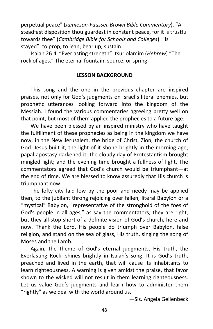perpetual peace" (*Jamieson-Fausset-Brown Bible Commentary*). "A steadfast disposition thou guardest in constant peace, for it is trustful towards thee" (*Cambridge Bible for Schools and Colleges*). "Is stayed": to prop; to lean; bear up; sustain.

Isaiah 26:4 "Everlasting strength": tsur olamim (*Hebrew*) "The rock of ages." The eternal fountain, source, or spring.

#### **LESSON BACKGROUND**

This song and the one in the previous chapter are inspired praises, not only for God's judgments on Israel's literal enemies, but prophetic utterances looking forward into the kingdom of the Messiah. I found the various commentaries agreeing pretty well on that point, but most of them applied the prophecies to a future age.

We have been blessed by an inspired ministry who have taught the fulfillment of these prophecies as being in the kingdom we have now, in the New Jerusalem, the bride of Christ, Zion, the church of God. Jesus built it; the light of it shone brightly in the morning age; papal apostasy darkened it; the cloudy day of Protestantism brought mingled light; and the evening time brought a fullness of light. The commentators agreed that God's church would be triumphant—at the end of time. We are blessed to know assuredly that His church is triumphant now.

The lofty city laid low by the poor and needy may be applied then, to the jubilant throng rejoicing over fallen, literal Babylon or a "mystical" Babylon, "representative of the stronghold of the foes of God's people in all ages," as say the commentators; they are right, but they all stop short of a definite vision of God's church, here and now. Thank the Lord, His people do triumph over Babylon, false religion, and stand on the sea of glass, His truth, singing the song of Moses and the Lamb.

Again, the theme of God's eternal judgments, His truth, the Everlasting Rock, shines brightly in Isaiah's song. It is God's truth, preached and lived in the earth, that will cause its inhabitants to learn righteousness. A warning is given amidst the praise, that favor shown to the wicked will not result in them learning righteousness. Let us value God's judgments and learn how to administer them "rightly" as we deal with the world around us.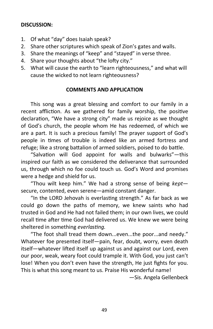## **DISCUSSION:**

- 1. Of what "day" does Isaiah speak?
- 2. Share other scriptures which speak of Zion's gates and walls.
- 3. Share the meanings of "keep" and "stayed" in verse three.
- 4. Share your thoughts about "the lofty city."
- 5. What will cause the earth to "learn righteousness," and what will cause the wicked to not learn righteousness?

#### **COMMENTS AND APPLICATION**

This song was a great blessing and comfort to our family in a recent affliction. As we gathered for family worship, the positive declaration, "We have a strong city" made us rejoice as we thought of God's church, the people whom He has redeemed, of which we are a part. It is such a precious family! The prayer support of God's people in times of trouble is indeed like an armed fortress and refuge; like a strong battalion of armed soldiers, poised to do battle.

"Salvation will God appoint for walls and bulwarks"—this inspired our faith as we considered the deliverance that surrounded us, through which no foe could touch us. God's Word and promises were a hedge and shield for us.

"Thou wilt keep him." We had a strong sense of being *kept* secure, contented, even serene—amid constant danger.

"In the LORD Jehovah is everlasting strength." As far back as we could go down the paths of memory, we knew saints who had trusted in God and He had not failed them; in our own lives, we could recall time after time God had delivered us. We knew we were being sheltered in something *everlasting*.

"The foot shall tread them down...even...the poor...and needy." Whatever foe presented itself—pain, fear, doubt, worry, even death itself—whatever lifted itself up against us and against our Lord, even our poor, weak, weary foot could trample it. With God, you just can't lose! When you don't even have the strength, He just fights for you. This is what this song meant to us. Praise His wonderful name!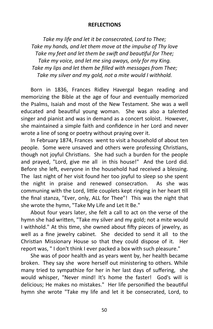#### **REFLECTIONS**

*Take my life and let it be consecrated, Lord to Thee; Take my hands, and let them move at the impulse of Thy love Take my feet and let them be swift and beautiful for Thee; Take my voice, and let me sing aways, only for my King. Take my lips and let them be filled with messages from Thee; Take my silver and my gold, not a mite would I withhold.*

Born in 1836, Frances Ridley Havergal began reading and memorizing the Bible at the age of four and eventually memorized the Psalms, Isaiah and most of the New Testament. She was a well educated and beautiful young woman. She was also a talented singer and pianist and was in demand as a concert soloist. However, she maintained a simple faith and confidence in her Lord and never wrote a line of song or poetry without praying over it.

In February 1874, Frances went to visit a household of about ten people. Some were unsaved and others were professing Christians, though not joyful Christians. She had such a burden for the people and prayed, "Lord, give me all in this house!" And the Lord did. Before she left, everyone in the household had received a blessing. The last night of her visit found her too joyful to sleep so she spent the night in praise and renewed consecration. As she was communing with the Lord, little couplets kept ringing in her heart till the final stanza, "Ever, only, ALL for Thee"! This was the night that she wrote the hymn, "Take My Life and Let It Be."

About four years later, she felt a call to act on the verse of the hymn she had written, "Take my silver and my gold; not a mite would I withhold." At this time, she owned about fifty pieces of jewelry, as well as a fine jewelry cabinet. She decided to send it all to the Christian Missionary House so that they could dispose of it. Her report was, " I don't think I ever packed a box with such pleasure."

She was of poor health and as years went by, her health became broken. They say she wore herself out ministering to others. While many tried to sympathize for her in her last days of suffering, she would whisper, "Never mind! It's home the faster! God's will is delicious; He makes no mistakes." Her life personified the beautiful hymn she wrote "Take my life and let it be consecrated, Lord, to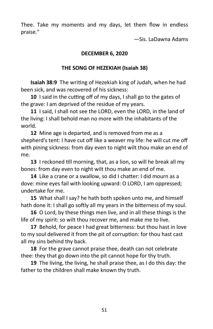Thee. Take my moments and my days, let them flow in endless praise."

—Sis. LaDawna Adams

# **DECEMBER 6, 2020**

# **THE SONG OF HEZEKIAH (Isaiah 38)**

**Isaiah 38:9** The writing of Hezekiah king of Judah, when he had been sick, and was recovered of his sickness:

**10** I said in the cutting off of my days, I shall go to the gates of the grave: I am deprived of the residue of my years.

**11** I said, I shall not see the LORD, even the LORD, in the land of the living: I shall behold man no more with the inhabitants of the world.

**12** Mine age is departed, and is removed from me as a shepherd's tent: I have cut off like a weaver my life: he will cut me off with pining sickness: from day even to night wilt thou make an end of me.

**13** I reckoned till morning, that, as a lion, so will he break all my bones: from day even to night wilt thou make an end of me.

**14** Like a crane or a swallow, so did I chatter: I did mourn as a dove: mine eyes fail with looking upward: O LORD, I am oppressed; undertake for me.

**15** What shall I say? he hath both spoken unto me, and himself hath done it: I shall go softly all my years in the bitterness of my soul.

**16** O Lord, by these things men live, and in all these things is the life of my spirit: so wilt thou recover me, and make me to live.

**17** Behold, for peace I had great bitterness: but thou hast in love to my soul delivered it from the pit of corruption: for thou hast cast all my sins behind thy back.

**18** For the grave cannot praise thee, death can not celebrate thee: they that go down into the pit cannot hope for thy truth.

**19** The living, the living, he shall praise thee, as I do this day: the father to the children shall make known thy truth.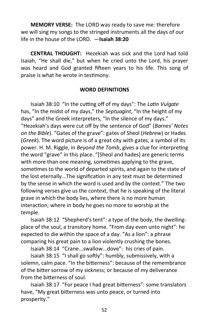**MEMORY VERSE:** The LORD was ready to save me: therefore we will sing my songs to the stringed instruments all the days of our life in the house of the LORD. —**Isaiah 38:20**

**CENTRAL THOUGHT:** Hezekiah was sick and the Lord had told Isaiah, "He shall die," but when he cried unto the Lord, his prayer was heard and God granted fifteen years to his life. This song of praise is what he wrote in testimony.

#### **WORD DEFINITIONS**

Isaiah 38:10 "In the cutting off of my days": The *Latin Vulgate*  has, "In the midst of my days," the *Septuagint*, "In the height of my days" and the Greek interpreters, "In the silence of my days." "Hezekiah's days were cut off by the sentence of God" (*Barnes' Notes on the Bible*). "Gates of the grave": gates of Sheol (*Hebrew*) or Hades (*Greek*). The word picture is of a great city with gates, a symbol of its power. H. M. Riggle, in *Beyond the Tomb*, gives a clue for interpreting the word "grave" in this place. "[Sheol and hades] are generic terms with more than one meaning, sometimes applying to the grave, sometimes to the world of departed spirits, and again to the state of the lost eternally...The signification in any text must be determined by the sense in which the word is used and by the context." The two following verses give us the context, that he is speaking of the literal grave in which the body lies, where there is no more human interaction; where in body he goes no more to worship at the temple.

Isaiah 38:12 "Shepherd's tent": a type of the body, the dwellingplace of the soul, a transitory home. "From day even unto night": he expected to die within the space of a day. "As a lion": a phrase comparing his great pain to a lion violently crushing the bones.

Isaiah 38:14 "Crane...swallow...dove": his cries of pain.

Isaiah 38:15 "I shall go softly": humbly, submissively, with a solemn, calm pace. "In the bitterness": because of the remembrance of the bitter sorrow of my sickness; or because of my deliverance from the bitterness of soul.

Isaiah 38:17 "For peace I had great bitterness": some translators have, "My great bitterness was unto peace, or turned into prosperity."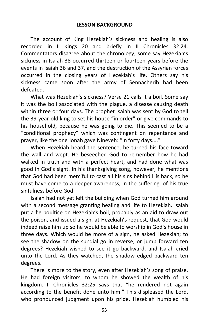The account of King Hezekiah's sickness and healing is also recorded in II Kings 20 and briefly in II Chronicles 32:24. Commentators disagree about the chronology; some say Hezekiah's sickness in Isaiah 38 occurred thirteen or fourteen years before the events in Isaiah 36 and 37, and the destruction of the Assyrian forces occurred in the closing years of Hezekiah's life. Others say his sickness came soon after the army of Sennacherib had been defeated.

What was Hezekiah's sickness? Verse 21 calls it a boil. Some say it was the boil associated with the plague, a disease causing death within three or four days. The prophet Isaiah was sent by God to tell the 39-year-old king to set his house "in order" or give commands to his household, because he was going to die. This seemed to be a "conditional prophecy" which was contingent on repentance and prayer, like the one Jonah gave Nineveh: "In forty days...."

When Hezekiah heard the sentence, he turned his face toward the wall and wept. He beseeched God to remember how he had walked in truth and with a perfect heart, and had done what was good in God's sight. In his thanksgiving song, however, he mentions that God had been merciful to cast all his sins behind His back, so he must have come to a deeper awareness, in the suffering, of his true sinfulness before God.

Isaiah had not yet left the building when God turned him around with a second message granting healing and life to Hezekiah. Isaiah put a fig poultice on Hezekiah's boil, probably as an aid to draw out the poison, and issued a sign, at Hezekiah's request, that God would indeed raise him up so he would be able to worship in God's house in three days. Which would be more of a sign, he asked Hezekiah; to see the shadow on the sundial go in reverse, or jump forward ten degrees? Hezekiah wished to see it go backward, and Isaiah cried unto the Lord. As they watched, the shadow edged backward ten degrees.

There is more to the story, even after Hezekiah's song of praise. He had foreign visitors, to whom he showed the wealth of his kingdom. II Chronicles 32:25 says that "he rendered not again according to the benefit done unto him." This displeased the Lord, who pronounced judgment upon his pride. Hezekiah humbled his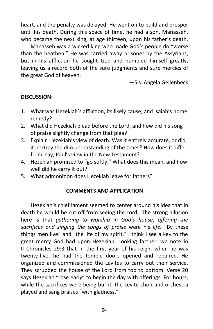heart, and the penalty was delayed. He went on to build and prosper until his death. During this space of time, he had a son, Manasseh, who became the next king, at age thirteen, upon his father's death.

Manasseh was a wicked king who made God's people do "worse than the heathen." He was carried away prisoner by the Assyrians, but in his affliction he sought God and humbled himself greatly, leaving us a record both of the sure judgments and sure mercies of the great God of heaven.

—Sis. Angela Gellenbeck

# **DISCUSSION:**

- 1. What was Hezekiah's affliction, its likely cause, and Isaiah's home remedy?
- 2. What did Hezekiah plead before the Lord, and how did his song of praise slightly change from that plea?
- 3. Explain Hezekiah's view of death. Was it entirely accurate, or did it portray the dim understanding of the times? How does it differ from, say, Paul's view in the New Testament?
- 4. Hezekiah promised to "go softly." What does this mean, and how well did he carry it out?
- 5. What admonition does Hezekiah leave for fathers?

## **COMMENTS AND APPLICATION**

Hezekiah's chief lament seemed to center around his idea that in death he would be cut off from seeing the Lord,. The strong allusion here is that *gathering to worship in God's house, offering the sacrifices and singing the songs of praise* were his *life.* "By these things men live" and "the life of my spirit." I think I see a key to the great mercy God had upon Hezekiah. Looking farther, we note in II Chronicles 29:3 that in the first year of his reign, when he was twenty-five, he had the temple doors opened and repaired. He organized and commissioned the Levites to carry out their service. They scrubbed the house of the Lord from top to bottom. Verse 20 says Hezekiah "rose early" to begin the day with offerings. For hours, while the sacrifices were being burnt, the Levite choir and orchestra played and sang praises "with gladness."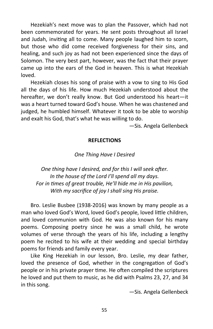Hezekiah's next move was to plan the Passover, which had not been commemorated for years. He sent posts throughout all Israel and Judah, inviting all to come. Many people laughed him to scorn, but those who did come received forgiveness for their sins, and healing, and such joy as had not been experienced since the days of Solomon. The very best part, however, was the fact that their prayer came up into the ears of the God in heaven. This is what Hezekiah loved.

Hezekiah closes his song of praise with a vow to sing to His God all the days of his life. How much Hezekiah understood about the hereafter, we don't really know. But God understood his heart—it was a heart turned toward God's house. When he was chastened and judged, he humbled himself. Whatever it took to be able to worship and exalt his God, that's what he was willing to do.

—Sis. Angela Gellenbeck

#### **REFLECTIONS**

## *One Thing Have I Desired*

*One thing have I desired, and for this I will seek after. In the house of the Lord I'll spend all my days. For in times of great trouble, He'll hide me in His pavilion, With my sacrifice of joy I shall sing His praise.*

Bro. Leslie Busbee (1938-2016) was known by many people as a man who loved God's Word, loved God's people, loved little children, and loved communion with God. He was also known for his many poems. Composing poetry since he was a small child, he wrote volumes of verse through the years of his life, including a lengthy poem he recited to his wife at their wedding and special birthday poems for friends and family every year.

Like King Hezekiah in our lesson, Bro. Leslie, my dear father, loved the presence of God, whether in the congregation of God's people or in his private prayer time. He often compiled the scriptures he loved and put them to music, as he did with Psalms 23, 27, and 34 in this song.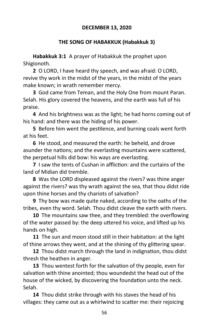# **DECEMBER 13, 2020**

## **THE SONG OF HABAKKUK (Habakkuk 3)**

**Habakkuk 3:1** A prayer of Habakkuk the prophet upon Shigionoth.

**2** O LORD, I have heard thy speech, and was afraid: O LORD, revive thy work in the midst of the years, in the midst of the years make known; in wrath remember mercy.

**3** God came from Teman, and the Holy One from mount Paran. Selah. His glory covered the heavens, and the earth was full of his praise.

**4** And his brightness was as the light; he had horns coming out of his hand: and there was the hiding of his power.

**5** Before him went the pestilence, and burning coals went forth at his feet.

**6** He stood, and measured the earth: he beheld, and drove asunder the nations; and the everlasting mountains were scattered, the perpetual hills did bow: his ways are everlasting.

**7** I saw the tents of Cushan in affliction: and the curtains of the land of Midian did tremble.

**8** Was the LORD displeased against the rivers? was thine anger against the rivers? was thy wrath against the sea, that thou didst ride upon thine horses and thy chariots of salvation?

**9** Thy bow was made quite naked, according to the oaths of the tribes, even thy word. Selah. Thou didst cleave the earth with rivers.

**10** The mountains saw thee, and they trembled: the overflowing of the water passed by: the deep uttered his voice, and lifted up his hands on high.

**11** The sun and moon stood still in their habitation: at the light of thine arrows they went, and at the shining of thy glittering spear.

**12** Thou didst march through the land in indignation, thou didst thresh the heathen in anger.

**13** Thou wentest forth for the salvation of thy people, even for salvation with thine anointed; thou woundedst the head out of the house of the wicked, by discovering the foundation unto the neck. Selah.

**14** Thou didst strike through with his staves the head of his villages: they came out as a whirlwind to scatter me: their rejoicing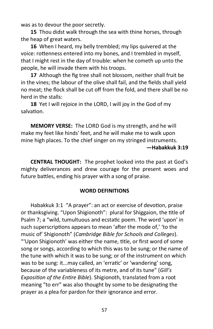was as to devour the poor secretly.

**15** Thou didst walk through the sea with thine horses, through the heap of great waters.

**16** When I heard, my belly trembled; my lips quivered at the voice: rottenness entered into my bones, and I trembled in myself, that I might rest in the day of trouble: when he cometh up unto the people, he will invade them with his troops.

**17** Although the fig tree shall not blossom, neither shall fruit be in the vines; the labour of the olive shall fail, and the fields shall yield no meat; the flock shall be cut off from the fold, and there shall be no herd in the stalls:

**18** Yet I will rejoice in the LORD, I will joy in the God of my salvation.

**MEMORY VERSE:** The LORD God is my strength, and he will make my feet like hinds' feet, and he will make me to walk upon mine high places. To the chief singer on my stringed instruments.

**—Habakkuk 3:19**

**CENTRAL THOUGHT:** The prophet looked into the past at God's mighty deliverances and drew courage for the present woes and future battles, ending his prayer with a song of praise.

#### **WORD DEFINITIONS**

Habakkuk 3:1 "A prayer": an act or exercise of devotion, praise or thanksgiving. "Upon Shigionoth": plural for Shiggaion, the title of Psalm 7; a "wild, tumultuous and ecstatic poem. The word 'upon' in such superscriptions appears to mean 'after the mode of,' 'to the music of' Shigionoth" (*Cambridge Bible for Schools and Colleges*). "'Upon Shigionoth' was either the name, title, or first word of some song or songs, according to which this was to be sung; or the name of the tune with which it was to be sung; or of the instrument on which was to be sung: it...may called, an 'erratic' or 'wandering' song, because of the variableness of its metre, and of its tune" (*Gill's Exposition of the Entire Bible*). Shigionoth, translated from a root meaning "to err" was also thought by some to be designating the prayer as a plea for pardon for their ignorance and error.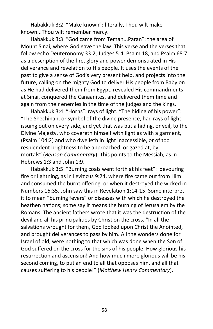Habakkuk 3:2 "Make known": literally, Thou wilt make known...Thou wilt remember mercy.

Habakkuk 3:3 "God came from Teman...Paran": the area of Mount Sinai, where God gave the law. This verse and the verses that follow echo Deuteronomy 33:2, Judges 5:4, Psalm 18, and Psalm 68:7 as a description of the fire, glory and power demonstrated in His deliverance and revelation to His people. It uses the events of the past to give a sense of God's very present help, and projects into the future, calling on the mighty God to deliver His people from Babylon as He had delivered them from Egypt, revealed His commandments at Sinai, conquered the Canaanites, and delivered them time and again from their enemies in the time of the judges and the kings.

Habakkuk 3:4 "Horns": rays of light. "The hiding of his power": "The Shechinah, or symbol of the divine presence, had rays of light issuing out on every side, and yet that was but a hiding, or veil, to the Divine Majesty, who covereth himself with light as with a garment, (Psalm 104:2) and who dwelleth in light inaccessible, or of too resplendent brightness to be approached, or gazed at, by mortals" (*Benson Commentary*). This points to the Messiah, as in Hebrews 1:3 and John 1:9.

Habakkuk 3:5 "Burning coals went forth at his feet": devouring fire or lightning, as in Leviticus 9:24, where fire came out from Him and consumed the burnt offering, or when it destroyed the wicked in Numbers 16:35. John saw this in Revelation 1:14-15. Some interpret it to mean "burning fevers" or diseases with which he destroyed the heathen nations; some say it means the burning of Jerusalem by the Romans. The ancient fathers wrote that it was the destruction of the devil and all his principalities by Christ on the cross. "In all the salvations wrought for them, God looked upon Christ the Anointed, and brought deliverances to pass by him. All the wonders done for Israel of old, were nothing to that which was done when the Son of God suffered on the cross for the sins of his people. How glorious his resurrection and ascension! And how much more glorious will be his second coming, to put an end to all that opposes him, and all that causes suffering to his people!" (*Matthew Henry Commentary*).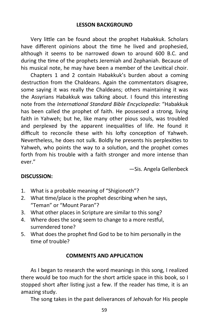Very little can be found about the prophet Habakkuk. Scholars have different opinions about the time he lived and prophesied, although it seems to be narrowed down to around 600 B.C. and during the time of the prophets Jeremiah and Zephaniah. Because of his musical note, he may have been a member of the Levitical choir.

Chapters 1 and 2 contain Habakkuk's burden about a coming destruction from the Chaldeans. Again the commentators disagree, some saying it was really the Chaldeans; others maintaining it was the Assyrians Habakkuk was talking about. I found this interesting note from the *International Standard Bible Encyclopedia*: "Habakkuk has been called the prophet of faith. He possessed a strong, living faith in Yahweh; but he, like many other pious souls, was troubled and perplexed by the apparent inequalities of life. He found it difficult to reconcile these with his lofty conception of Yahweh. Nevertheless, he does not sulk. Boldly he presents his perplexities to Yahweh, who points the way to a solution, and the prophet comes forth from his trouble with a faith stronger and more intense than ever."

—Sis. Angela Gellenbeck

# **DISCUSSION:**

- 1. What is a probable meaning of "Shigionoth"?
- 2. What time/place is the prophet describing when he says, "Teman" or "Mount Paran"?
- 3. What other places in Scripture are similar to this song?
- 4. Where does the song seem to change to a more restful, surrendered tone?
- 5. What does the prophet find God to be to him personally in the time of trouble?

## **COMMENTS AND APPLICATION**

As I began to research the word meanings in this song, I realized there would be too much for the short article space in this book, so I stopped short after listing just a few. If the reader has time, it is an amazing study.

The song takes in the past deliverances of Jehovah for His people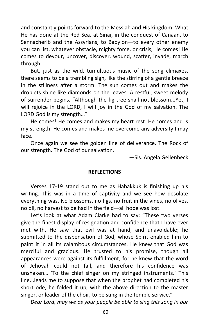and constantly points forward to the Messiah and His kingdom. What He has done at the Red Sea, at Sinai, in the conquest of Canaan, to Sennacherib and the Assyrians, to Babylon—to every other enemy you can list, whatever obstacle, mighty force, or crisis, He comes! He comes to devour, uncover, discover, wound, scatter, invade, march through.

But, just as the wild, tumultuous music of the song climaxes, there seems to be a trembling sigh, like the stirring of a gentle breeze in the stillness after a storm. The sun comes out and makes the droplets shine like diamonds on the leaves. A restful, sweet melody of surrender begins. "Although the fig tree shall not blossom...Yet, I will rejoice in the LORD, I will joy in the God of my salvation. The LORD God is my strength…"

He comes! He comes and makes my heart rest. He comes and is my strength. He comes and makes me overcome any adversity I may face.

Once again we see the golden line of deliverance. The Rock of our strength. The God of our salvation.

—Sis. Angela Gellenbeck

#### **REFLECTIONS**

Verses 17-19 stand out to me as Habakkuk is finishing up his writing. This was in a time of captivity and we see how desolate everything was. No blossoms, no figs, no fruit in the vines, no olives, no oil, no harvest to be had in the field—all hope was lost.

Let's look at what Adam Clarke had to say: "These two verses give the finest display of resignation and confidence that I have ever met with. He saw that evil was at hand, and unavoidable; he submitted to the dispensation of God, whose Spirit enabled him to paint it in all its calamitous circumstances. He knew that God was merciful and gracious. He trusted to his promise, though all appearances were against its fulfillment; for he knew that the word of Jehovah could not fail, and therefore his confidence was unshaken… 'To the chief singer on my stringed instruments.' This line...leads me to suppose that when the prophet had completed his short ode, he folded it up, with the above direction to the master singer, or leader of the choir, to be sung in the temple service."

*Dear Lord, may we as your people be able to sing this song in our*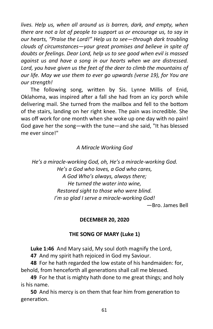*lives. Help us, when all around us is barren, dark, and empty, when there are not a lot of people to support us or encourage us, to say in our hearts, "Praise the Lord!" Help us to see—through dark troubling clouds of circumstances—your great promises and believe in spite of doubts or feelings. Dear Lord, help us to see good when evil is massed against us and have a song in our hearts when we are distressed. Lord, you have given us the feet of the deer to climb the mountains of our life. May we use them to ever go upwards (verse 19), for You are our strength!* 

The following song, written by Sis. Lynne Millis of Enid, Oklahoma, was inspired after a fall she had from an icy porch while delivering mail. She turned from the mailbox and fell to the bottom of the stairs, landing on her right knee. The pain was incredible. She was off work for one month when she woke up one day with no pain! God gave her the song—with the tune—and she said, "It has blessed me ever since!"

# *A Miracle Working God*

*He's a miracle-working God, oh, He's a miracle-working God. He's a God who loves, a God who cares, A God Who's always, always there; He turned the water into wine, Restored sight to those who were blind. I'm so glad I serve a miracle-working God!* —Bro. James Bell

## **DECEMBER 20, 2020**

# **THE SONG OF MARY (Luke 1)**

**Luke 1:46** And Mary said, My soul doth magnify the Lord,

**47** And my spirit hath rejoiced in God my Saviour.

**48** For he hath regarded the low estate of his handmaiden: for, behold, from henceforth all generations shall call me blessed.

**49** For he that is mighty hath done to me great things; and holy is his name.

**50** And his mercy is on them that fear him from generation to generation.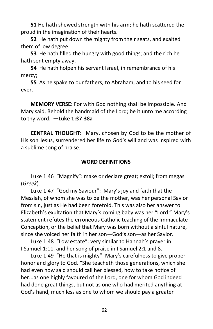**51** He hath shewed strength with his arm; he hath scattered the proud in the imagination of their hearts.

**52** He hath put down the mighty from their seats, and exalted them of low degree.

**53** He hath filled the hungry with good things; and the rich he hath sent empty away.

**54** He hath holpen his servant Israel, in remembrance of his mercy;

**55** As he spake to our fathers, to Abraham, and to his seed for ever.

**MEMORY VERSE:** For with God nothing shall be impossible. And Mary said, Behold the handmaid of the Lord; be it unto me according to thy word. **—Luke 1:37-38a**

**CENTRAL THOUGHT:** Mary, chosen by God to be the mother of His son Jesus, surrendered her life to God's will and was inspired with a sublime song of praise.

#### **WORD DEFINITIONS**

Luke 1:46 "Magnify": make or declare great; extoll; from megas (*Greek*).

Luke 1:47 "God my Saviour": Mary's joy and faith that the Messiah, of whom she was to be the mother, was her personal Savior from sin, just as He had been foretold. This was also her answer to Elizabeth's exultation that Mary's coming baby was her "Lord." Mary's statement refutes the erroneous Catholic teaching of the Immaculate Conception, or the belief that Mary was born without a sinful nature, since she voiced her faith in her son—God's son—as her Savior.

Luke 1:48 "Low estate": very similar to Hannah's prayer in I Samuel 1:11, and her song of praise in I Samuel 2:1 and 8.

Luke 1:49 "He that is mighty": Mary's carefulness to give proper honor and glory to God. "She teacheth those generations, which she had even now said should call her blessed, how to take notice of her...as one highly favoured of the Lord, one for whom God indeed had done great things, but not as one who had merited anything at God's hand, much less as one to whom we should pay a greater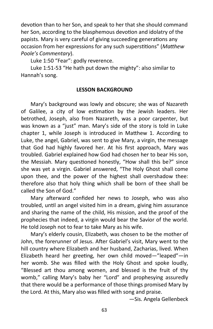devotion than to her Son, and speak to her that she should command her Son, according to the blasphemous devotion and idolatry of the papists. Mary is very careful of giving succeeding generations any occasion from her expressions for any such superstitions" (*Matthew Poole's Commentary*).

Luke 1:50 "Fear": godly reverence.

Luke 1:51-53 "He hath put down the mighty": also similar to Hannah's song.

#### **LESSON BACKGROUND**

Mary's background was lowly and obscure; she was of Nazareth of Galilee, a city of low estimation by the Jewish leaders. Her betrothed, Joseph, also from Nazareth, was a poor carpenter, but was known as a "just" man. Mary's side of the story is told in Luke chapter 1, while Joseph is introduced in Matthew 1. According to Luke, the angel, Gabriel, was sent to give Mary, a virgin, the message that God had highly favored her. At his first approach, Mary was troubled. Gabriel explained how God had chosen her to bear His son, the Messiah. Mary questioned honestly, "How shall this be?" since she was yet a virgin. Gabriel answered, "The Holy Ghost shall come upon thee, and the power of the highest shall overshadow thee: therefore also that holy thing which shall be born of thee shall be called the Son of God."

Mary afterward confided her news to Joseph, who was also troubled, until an angel visited him in a dream, giving him assurance and sharing the name of the child, His mission, and the proof of the prophecies that indeed, a virgin would bear the Savior of the world. He told Joseph not to fear to take Mary as his wife.

Mary's elderly cousin, Elizabeth, was chosen to be the mother of John, the forerunner of Jesus. After Gabriel's visit, Mary went to the hill country where Elizabeth and her husband, Zacharias, lived. When Elizabeth heard her greeting, her own child moved—"leaped"—in her womb. She was filled with the Holy Ghost and spoke loudly, "Blessed art thou among women, and blessed is the fruit of thy womb," calling Mary's baby her "Lord" and prophesying assuredly that there would be a performance of those things promised Mary by the Lord. At this, Mary also was filled with song and praise.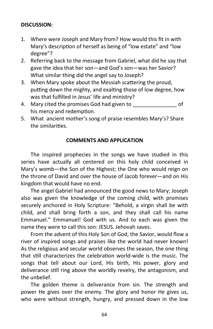# **DISCUSSION:**

- 1. Where were Joseph and Mary from? How would this fit in with Mary's description of herself as being of "low estate" and "low degree"?
- 2. Referring back to the message from Gabriel, what did he say that gave the idea that her son—and God's son—was her Savior? What similar thing did the angel say to Joseph?
- 3. When Mary spoke about the Messiah scattering the proud, putting down the mighty, and exalting those of low degree, how was that fulfilled in Jesus' life and ministry?
- 4. Mary cited the promises God had given to  $\qquad \qquad$  of his mercy and redemption.
- 5. What ancient mother's song of praise resembles Mary's? Share the similarities.

## **COMMENTS AND APPLICATION**

The inspired prophecies in the songs we have studied in this series have actually all centered on this holy child conceived in Mary's womb—the Son of the Highest; the One who would reign on the throne of David and over the house of Jacob forever—and on His kingdom that would have no end.

The angel Gabriel had announced the good news to Mary; Joseph also was given the knowledge of the coming child, with promises securely anchored in Holy Scripture: "Behold, a virgin shall be with child, and shall bring forth a son, and they shall call his name Emmanuel." Emmanuel! God with us. And to each was given the name they were to call this son: JESUS. Jehovah saves.

From the advent of this Holy Son of God, the Savior, would flow a river of inspired songs and praises like the world had never known! As the religious and secular world observes the season, the one thing that still characterizes the celebration world-wide is the music. The songs that tell about our Lord, His birth, His power, glory and deliverance still ring above the worldly revelry, the antagonism, and the unbelief.

The golden theme is deliverance from sin. The strength and power He gives over the enemy. The glory and honor He gives us, who were without strength, hungry, and pressed down in the low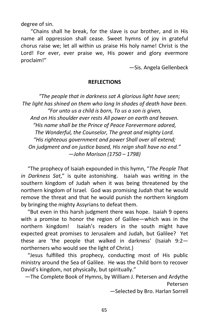degree of sin.

"Chains shall he break, for the slave is our brother, and in His name all oppression shall cease. Sweet hymns of joy in grateful chorus raise we; let all within us praise His holy name! Christ is the Lord! For ever, ever praise we, His power and glory evermore proclaim!"

—Sis. Angela Gellenbeck

#### **REFLECTIONS**

*"The people that in darkness sat A glorious light have seen; The light has shined on them who long In shades of death have been. "For unto us a child is born, To us a son is given, And on His shoulder ever rests All power on earth and heaven. "His name shall be the Prince of Peace Forevermore adored, The Wonderful, the Counselor, The great and mighty Lord. "His righteous government and power Shall over all extend; On judgment and on justice based, His reign shall have no end." —John Morison (1750 – 1798)*

 "The prophecy of Isaiah expounded in this hymn, "*The People That in Darkness Sat*," is quite astonishing. Isaiah was writing in the southern kingdom of Judah when it was being threatened by the northern kingdom of Israel. God was promising Judah that he would remove the threat and that he would punish the northern kingdom by bringing the mighty Assyrians to defeat them.

 "But even in this harsh judgment there was hope. Isaiah 9 opens with a promise to honor the region of Galilee—which was in the northern kingdom! Isaiah's readers in the south might have expected great promises to Jerusalem and Judah, but Galilee? Yet these are 'the people that walked in darkness' (Isaiah 9:2 northerners who would see the light of Christ.)

 "Jesus fulfilled this prophecy, conducting most of His public ministry around the Sea of Galilee. He was the Child born to recover David's kingdom, not physically, but spiritually."

—The Complete Book of Hymns, by William J. Petersen and Ardythe Petersen

—Selected by Bro. Harlan Sorrell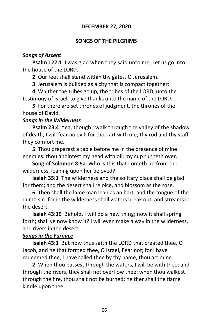# **DECEMBER 27, 2020**

## **SONGS OF THE PILGRIMS**

#### *Songs of Ascent*

**Psalm 122:1** I was glad when they said unto me, Let us go into the house of the LORD.

**2** Our feet shall stand within thy gates, O Jerusalem.

**3** Jerusalem is builded as a city that is compact together:

**4** Whither the tribes go up, the tribes of the LORD, unto the testimony of Israel, to give thanks unto the name of the LORD.

**5** For there are set thrones of judgment, the thrones of the house of David.

## *Songs in the Wilderness*

**Psalm 23:4** Yea, though I walk through the valley of the shadow of death, I will fear no evil: for thou art with me; thy rod and thy staff they comfort me.

**5** Thou preparest a table before me in the presence of mine enemies: thou anointest my head with oil; my cup runneth over.

**Song of Solomon 8:5a** Who is this that cometh up from the wilderness, leaning upon her beloved?

**Isaiah 35:1** The wilderness and the solitary place shall be glad for them; and the desert shall rejoice, and blossom as the rose.

**6** Then shall the lame man leap as an hart, and the tongue of the dumb sin: for in the wilderness shall waters break out, and streams in the desert.

**Isaiah 43:19** Behold, I will do a new thing; now it shall spring forth; shall ye now know it? I will even make a way in the wilderness, and rivers in the desert.

## *Songs in the Furnace*

**Isaiah 43:1** But now thus saith the LORD that created thee, O Jacob, and he that formed thee, O Israel, Fear not; for I have redeemed thee, I have called thee by thy name; thou art mine.

**2** When thou passest through the waters, I will be with thee: and through the rivers, they shall not overflow thee: when thou walkest through the fire, thou shalt not be burned: neither shall the flame kindle upon thee.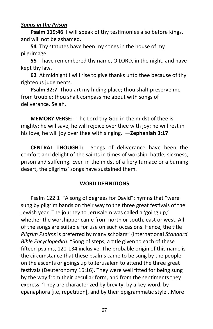## *Songs in the Prison*

**Psalm 119:46** I will speak of thy testimonies also before kings, and will not be ashamed.

**54** Thy statutes have been my songs in the house of my pilgrimage.

**55** I have remembered thy name, O LORD, in the night, and have kept thy law.

**62** At midnight I will rise to give thanks unto thee because of thy righteous judgments.

**Psalm 32:7** Thou art my hiding place; thou shalt preserve me from trouble; thou shalt compass me about with songs of deliverance. Selah.

**MEMORY VERSE:** The Lord thy God in the midst of thee is mighty; he will save, he will rejoice over thee with joy; he will rest in his love, he will joy over thee with singing. —**Zephaniah 3:17**

**CENTRAL THOUGHT:** Songs of deliverance have been the comfort and delight of the saints in times of worship, battle, sickness, prison and suffering. Even in the midst of a fiery furnace or a burning desert, the pilgrims' songs have sustained them.

## **WORD DEFINITIONS**

Psalm 122:1 "A song of degrees for David": hymns that "were sung by pilgrim bands on their way to the three great festivals of the Jewish year. The journey to Jerusalem was called a 'going up,' whether the worshipper came from north or south, east or west. All of the songs are suitable for use on such occasions. Hence, the title *Pilgrim Psalms* is preferred by many scholars" (International *Standard Bible Encyclopedia*). "Song of steps, a title given to each of these fifteen psalms, 120-134 inclusive. The probable origin of this name is the circumstance that these psalms came to be sung by the people on the ascents or goings up to Jerusalem to attend the three great festivals (Deuteronomy 16:16). They were well fitted for being sung by the way from their peculiar form, and from the sentiments they express. 'They are characterized by brevity, by a key-word, by epanaphora [i.e, repetition], and by their epigrammatic style...More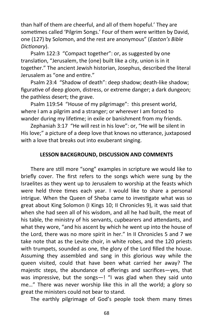than half of them are cheerful, and all of them hopeful.' They are sometimes called 'Pilgrim Songs.' Four of them were written by David, one (127) by Solomon, and the rest are anonymous" (*Easton's Bible Dictionary*).

Psalm 122:3 "Compact together": or, as suggested by one translation, "Jerusalem, the (one) built like a city, union is in it together." The ancient Jewish historian, Josephus, described the literal Jerusalem as "one and entire."

Psalm 23:4 "Shadow of death": deep shadow; death-like shadow; figurative of deep gloom, distress, or extreme danger; a dark dungeon; the pathless desert; the grave.

Psalm 119:54 "House of my pilgrimage": this present world, where I am a pilgrim and a stranger; or wherever I am forced to wander during my lifetime; in exile or banishment from my friends.

Zephaniah 3:17 "He will rest in his love": or, "He will be silent in His love;" a picture of a deep love that knows no utterance, juxtaposed with a love that breaks out into exuberant singing.

## **LESSON BACKGROUND, DISCUSSION AND COMMENTS**

There are still more "song" examples in scripture we would like to briefly cover. The first refers to the songs which were sung by the Israelites as they went up to Jerusalem to worship at the feasts which were held three times each year. I would like to share a personal intrigue. When the Queen of Sheba came to investigate what was so great about King Solomon (I Kings 10; II Chronicles 9), it was said that when she had seen all of his wisdom, and all he had built, the meat of his table, the ministry of his servants, cupbearers and attendants, and what they wore, "and his ascent by which he went up into the house of the Lord, there was no more spirit in her." In II Chronicles 5 and 7 we take note that as the Levite choir, in white robes, and the 120 priests with trumpets, sounded as one, the glory of the Lord filled the house. Assuming they assembled and sang in this glorious way while the queen visited, could that have been what carried her away? The majestic steps, the abundance of offerings and sacrifices—yes, that was impressive, but the songs-! "I was glad when they said unto me…" There was never worship like this in all the world; a glory so great the ministers could not bear to stand.

The earthly pilgrimage of God's people took them many times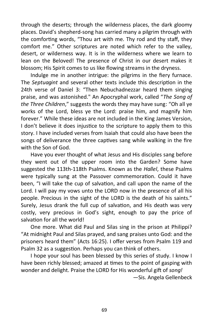through the deserts; through the wilderness places, the dark gloomy places. David's shepherd-song has carried many a pilgrim through with the comforting words, "Thou art with me. Thy rod and thy staff, they comfort me." Other scriptures are noted which refer to the valley, desert, or wilderness way. It is in the wilderness where we learn to lean on the Beloved! The presence of Christ in our desert makes it blossom; His Spirit comes to us like flowing streams in the dryness.

Indulge me in another intrigue: the pilgrims in the fiery furnace. The *Septuagint* and several other texts include this description in the 24th verse of Daniel 3: "Then Nebuchadnezzar heard them singing praise, and was astonished." An Apocryphal work, called "*The Song of the Three Children*," suggests the words they may have sung: "Oh all ye works of the Lord, bless ye the Lord: praise him, and magnify him forever." While these ideas are not included in the King James Version, I don't believe it does injustice to the scripture to apply them to this story. I have included verses from Isaiah that could also have been the songs of deliverance the three captives sang while walking in the fire with the Son of God.

Have you ever thought of what Jesus and His disciples sang before they went out of the upper room into the Garden? Some have suggested the 113th-118th Psalms. Known as the *Hallel*, these Psalms were typically sung at the Passover commemoration. Could it have been, "I will take the cup of salvation, and call upon the name of the Lord. I will pay my vows unto the LORD now in the presence of all his people. Precious in the sight of the LORD is the death of his saints." Surely, Jesus drank the full cup of salvation, and His death was very costly, very precious in God's sight, enough to pay the price of salvation for all the world!

One more. What did Paul and Silas sing in the prison at Philippi? "At midnight Paul and Silas prayed, and sang praises unto God: and the prisoners heard them" (Acts 16:25). I offer verses from Psalm 119 and Psalm 32 as a suggestion. Perhaps you can think of others.

I hope your soul has been blessed by this series of study. I know I have been richly blessed; amazed at times to the point of gasping with wonder and delight. Praise the LORD for His wonderful gift of *song!*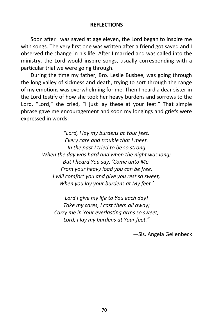#### **REFLECTIONS**

Soon after I was saved at age eleven, the Lord began to inspire me with songs. The very first one was written after a friend got saved and I observed the change in his life. After I married and was called into the ministry, the Lord would inspire songs, usually corresponding with a particular trial we were going through.

During the time my father, Bro. Leslie Busbee, was going through the long valley of sickness and death, trying to sort through the range of my emotions was overwhelming for me. Then I heard a dear sister in the Lord testify of how she took her heavy burdens and sorrows to the Lord. "Lord," she cried, "I just lay these at your feet." That simple phrase gave me encouragement and soon my longings and griefs were expressed in words:

> *"Lord, I lay my burdens at Your feet. Every care and trouble that I meet. In the past I tried to be so strong When the day was hard and when the night was long; But I heard You say, 'Come unto Me. From your heavy load you can be free. I will comfort you and give you rest so sweet, When you lay your burdens at My feet.'*

*Lord I give my life to You each day! Take my cares, I cast them all away; Carry me in Your everlasting arms so sweet, Lord, I lay my burdens at Your feet."*